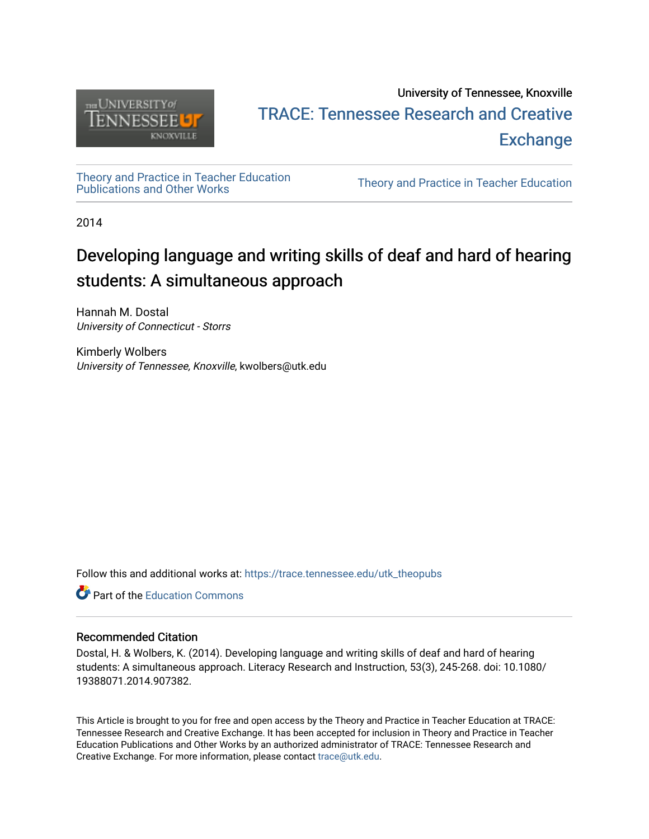

# University of Tennessee, Knoxville TRACE: T[ennessee Research and Cr](https://trace.tennessee.edu/)eative **Exchange**

[Theory and Practice in Teacher Education](https://trace.tennessee.edu/utk_theopubs)

Theory and Practice in Teacher Education

2014

# Developing language and writing skills of deaf and hard of hearing students: A simultaneous approach

Hannah M. Dostal University of Connecticut - Storrs

Kimberly Wolbers University of Tennessee, Knoxville, kwolbers@utk.edu

Follow this and additional works at: [https://trace.tennessee.edu/utk\\_theopubs](https://trace.tennessee.edu/utk_theopubs?utm_source=trace.tennessee.edu%2Futk_theopubs%2F7&utm_medium=PDF&utm_campaign=PDFCoverPages)

**C** Part of the [Education Commons](https://network.bepress.com/hgg/discipline/784?utm_source=trace.tennessee.edu%2Futk_theopubs%2F7&utm_medium=PDF&utm_campaign=PDFCoverPages)

# Recommended Citation

Dostal, H. & Wolbers, K. (2014). Developing language and writing skills of deaf and hard of hearing students: A simultaneous approach. Literacy Research and Instruction, 53(3), 245-268. doi: 10.1080/ 19388071.2014.907382.

This Article is brought to you for free and open access by the Theory and Practice in Teacher Education at TRACE: Tennessee Research and Creative Exchange. It has been accepted for inclusion in Theory and Practice in Teacher Education Publications and Other Works by an authorized administrator of TRACE: Tennessee Research and Creative Exchange. For more information, please contact [trace@utk.edu](mailto:trace@utk.edu).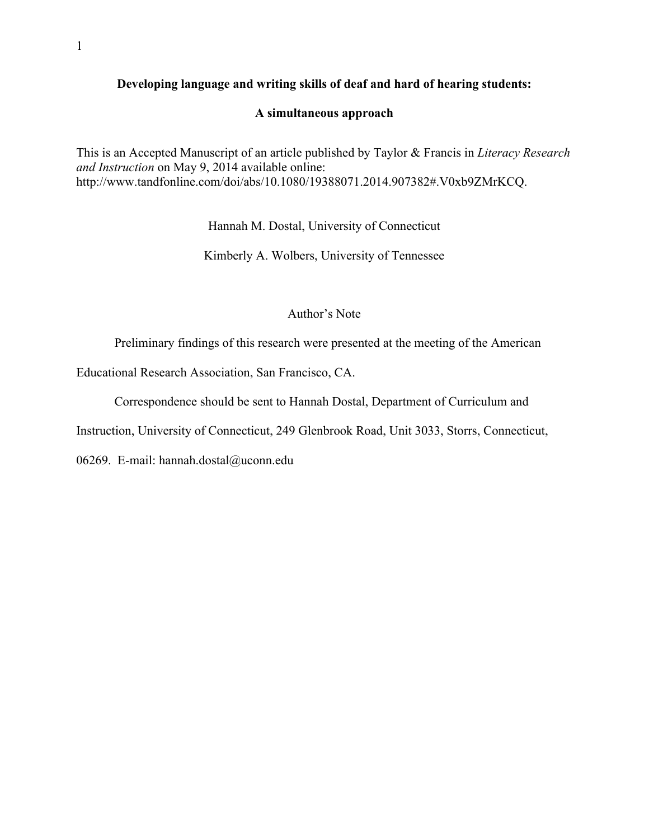# **Developing language and writing skills of deaf and hard of hearing students:**

# **A simultaneous approach**

This is an Accepted Manuscript of an article published by Taylor & Francis in *Literacy Research and Instruction* on May 9, 2014 available online: http://www.tandfonline.com/doi/abs/10.1080/19388071.2014.907382#.V0xb9ZMrKCQ.

Hannah M. Dostal, University of Connecticut

Kimberly A. Wolbers, University of Tennessee

#### Author's Note

Preliminary findings of this research were presented at the meeting of the American

Educational Research Association, San Francisco, CA.

Correspondence should be sent to Hannah Dostal, Department of Curriculum and

Instruction, University of Connecticut, 249 Glenbrook Road, Unit 3033, Storrs, Connecticut,

06269. E-mail: hannah.dostal@uconn.edu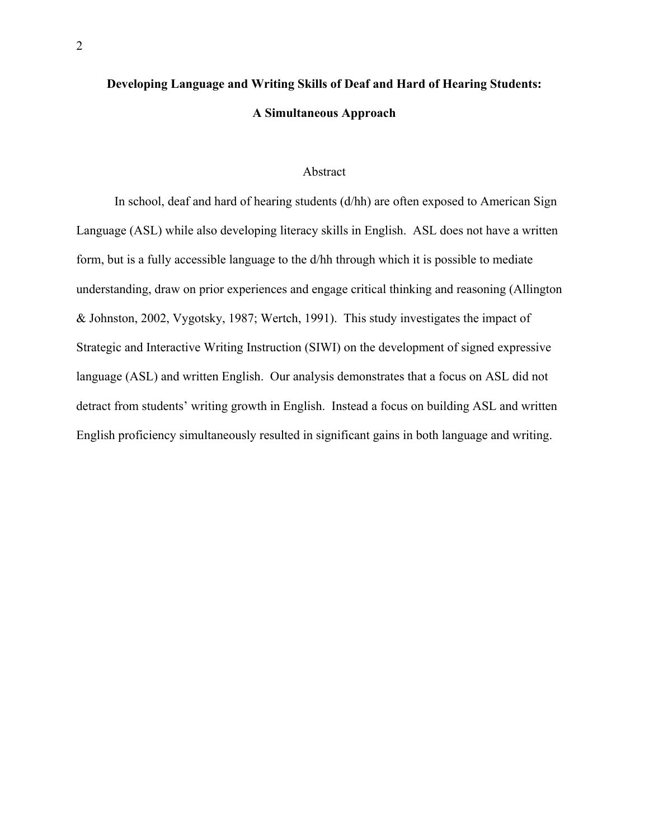# **Developing Language and Writing Skills of Deaf and Hard of Hearing Students: A Simultaneous Approach**

## Abstract

In school, deaf and hard of hearing students (d/hh) are often exposed to American Sign Language (ASL) while also developing literacy skills in English. ASL does not have a written form, but is a fully accessible language to the d/hh through which it is possible to mediate understanding, draw on prior experiences and engage critical thinking and reasoning (Allington & Johnston, 2002, Vygotsky, 1987; Wertch, 1991). This study investigates the impact of Strategic and Interactive Writing Instruction (SIWI) on the development of signed expressive language (ASL) and written English. Our analysis demonstrates that a focus on ASL did not detract from students' writing growth in English. Instead a focus on building ASL and written English proficiency simultaneously resulted in significant gains in both language and writing.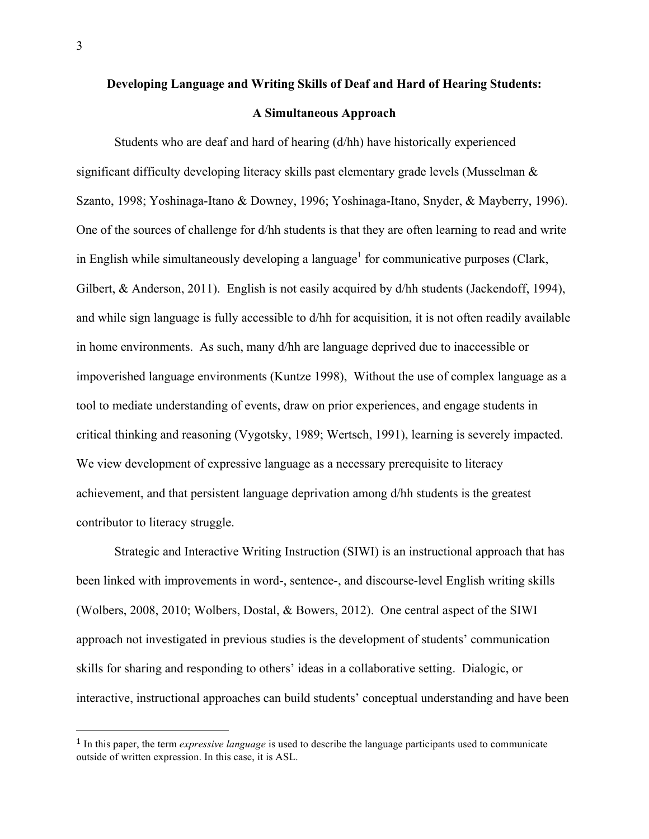#### **Developing Language and Writing Skills of Deaf and Hard of Hearing Students:**

#### **A Simultaneous Approach**

Students who are deaf and hard of hearing (d/hh) have historically experienced significant difficulty developing literacy skills past elementary grade levels (Musselman & Szanto, 1998; Yoshinaga-Itano & Downey, 1996; Yoshinaga-Itano, Snyder, & Mayberry, 1996). One of the sources of challenge for d/hh students is that they are often learning to read and write in English while simultaneously developing a language<sup>1</sup> for communicative purposes (Clark, Gilbert, & Anderson, 2011). English is not easily acquired by d/hh students (Jackendoff, 1994), and while sign language is fully accessible to d/hh for acquisition, it is not often readily available in home environments. As such, many d/hh are language deprived due to inaccessible or impoverished language environments (Kuntze 1998), Without the use of complex language as a tool to mediate understanding of events, draw on prior experiences, and engage students in critical thinking and reasoning (Vygotsky, 1989; Wertsch, 1991), learning is severely impacted. We view development of expressive language as a necessary prerequisite to literacy achievement, and that persistent language deprivation among d/hh students is the greatest contributor to literacy struggle.

Strategic and Interactive Writing Instruction (SIWI) is an instructional approach that has been linked with improvements in word-, sentence-, and discourse-level English writing skills (Wolbers, 2008, 2010; Wolbers, Dostal, & Bowers, 2012). One central aspect of the SIWI approach not investigated in previous studies is the development of students' communication skills for sharing and responding to others' ideas in a collaborative setting. Dialogic, or interactive, instructional approaches can build students' conceptual understanding and have been

 

<sup>1</sup> In this paper, the term *expressive language* is used to describe the language participants used to communicate outside of written expression. In this case, it is ASL.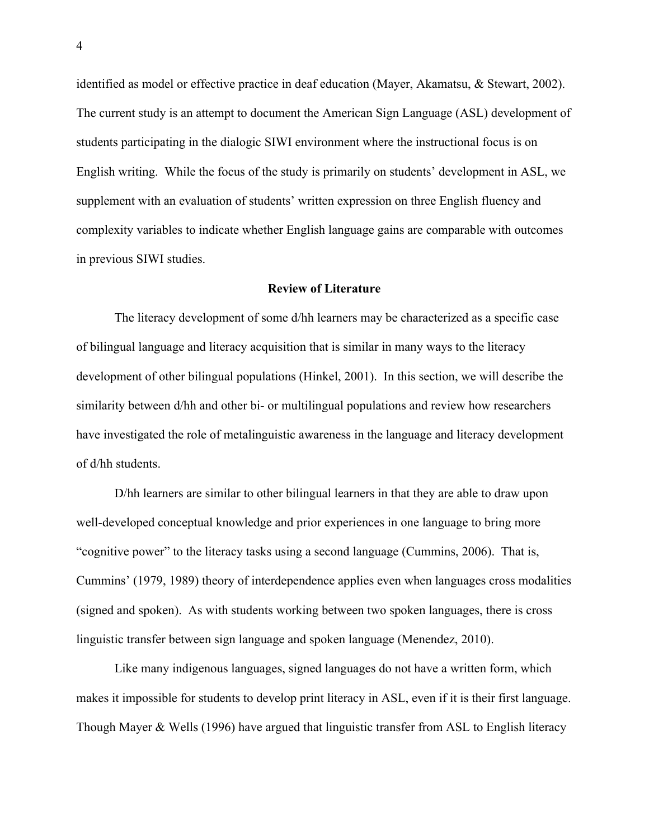identified as model or effective practice in deaf education (Mayer, Akamatsu, & Stewart, 2002). The current study is an attempt to document the American Sign Language (ASL) development of students participating in the dialogic SIWI environment where the instructional focus is on English writing. While the focus of the study is primarily on students' development in ASL, we supplement with an evaluation of students' written expression on three English fluency and complexity variables to indicate whether English language gains are comparable with outcomes in previous SIWI studies.

#### **Review of Literature**

The literacy development of some d/hh learners may be characterized as a specific case of bilingual language and literacy acquisition that is similar in many ways to the literacy development of other bilingual populations (Hinkel, 2001). In this section, we will describe the similarity between d/hh and other bi- or multilingual populations and review how researchers have investigated the role of metalinguistic awareness in the language and literacy development of d/hh students.

D/hh learners are similar to other bilingual learners in that they are able to draw upon well-developed conceptual knowledge and prior experiences in one language to bring more "cognitive power" to the literacy tasks using a second language (Cummins, 2006). That is, Cummins' (1979, 1989) theory of interdependence applies even when languages cross modalities (signed and spoken). As with students working between two spoken languages, there is cross linguistic transfer between sign language and spoken language (Menendez, 2010).

Like many indigenous languages, signed languages do not have a written form, which makes it impossible for students to develop print literacy in ASL, even if it is their first language. Though Mayer & Wells (1996) have argued that linguistic transfer from ASL to English literacy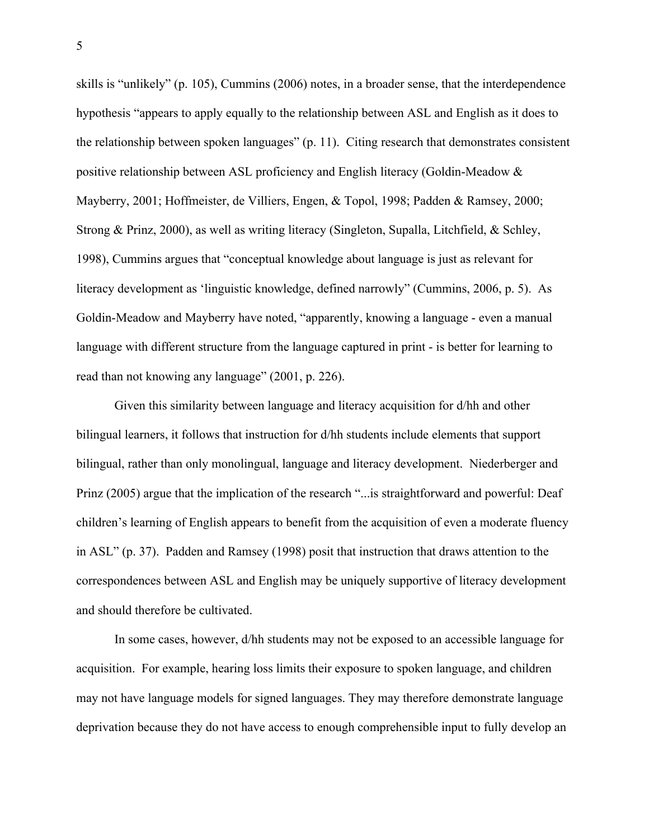skills is "unlikely" (p. 105), Cummins (2006) notes, in a broader sense, that the interdependence hypothesis "appears to apply equally to the relationship between ASL and English as it does to the relationship between spoken languages" (p. 11). Citing research that demonstrates consistent positive relationship between ASL proficiency and English literacy (Goldin-Meadow & Mayberry, 2001; Hoffmeister, de Villiers, Engen, & Topol, 1998; Padden & Ramsey, 2000; Strong & Prinz, 2000), as well as writing literacy (Singleton, Supalla, Litchfield, & Schley, 1998), Cummins argues that "conceptual knowledge about language is just as relevant for literacy development as 'linguistic knowledge, defined narrowly" (Cummins, 2006, p. 5). As Goldin-Meadow and Mayberry have noted, "apparently, knowing a language - even a manual language with different structure from the language captured in print - is better for learning to read than not knowing any language" (2001, p. 226).

Given this similarity between language and literacy acquisition for d/hh and other bilingual learners, it follows that instruction for d/hh students include elements that support bilingual, rather than only monolingual, language and literacy development. Niederberger and Prinz (2005) argue that the implication of the research "...is straightforward and powerful: Deaf children's learning of English appears to benefit from the acquisition of even a moderate fluency in ASL" (p. 37). Padden and Ramsey (1998) posit that instruction that draws attention to the correspondences between ASL and English may be uniquely supportive of literacy development and should therefore be cultivated.

In some cases, however, d/hh students may not be exposed to an accessible language for acquisition. For example, hearing loss limits their exposure to spoken language, and children may not have language models for signed languages. They may therefore demonstrate language deprivation because they do not have access to enough comprehensible input to fully develop an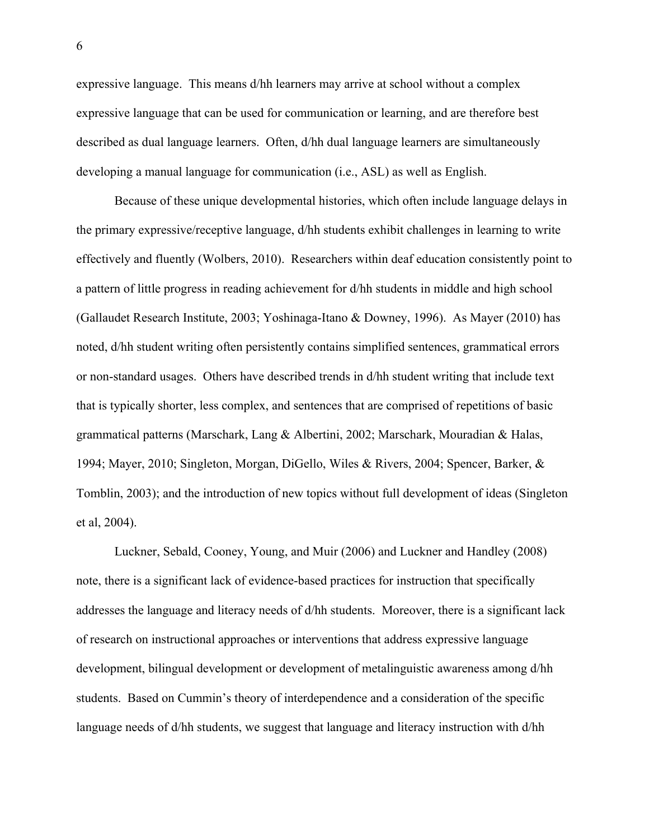expressive language. This means d/hh learners may arrive at school without a complex expressive language that can be used for communication or learning, and are therefore best described as dual language learners. Often, d/hh dual language learners are simultaneously developing a manual language for communication (i.e., ASL) as well as English.

Because of these unique developmental histories, which often include language delays in the primary expressive/receptive language, d/hh students exhibit challenges in learning to write effectively and fluently (Wolbers, 2010). Researchers within deaf education consistently point to a pattern of little progress in reading achievement for d/hh students in middle and high school (Gallaudet Research Institute, 2003; Yoshinaga-Itano & Downey, 1996). As Mayer (2010) has noted, d/hh student writing often persistently contains simplified sentences, grammatical errors or non-standard usages. Others have described trends in d/hh student writing that include text that is typically shorter, less complex, and sentences that are comprised of repetitions of basic grammatical patterns (Marschark, Lang & Albertini, 2002; Marschark, Mouradian & Halas, 1994; Mayer, 2010; Singleton, Morgan, DiGello, Wiles & Rivers, 2004; Spencer, Barker, & Tomblin, 2003); and the introduction of new topics without full development of ideas (Singleton et al, 2004).

Luckner, Sebald, Cooney, Young, and Muir (2006) and Luckner and Handley (2008) note, there is a significant lack of evidence-based practices for instruction that specifically addresses the language and literacy needs of d/hh students. Moreover, there is a significant lack of research on instructional approaches or interventions that address expressive language development, bilingual development or development of metalinguistic awareness among d/hh students. Based on Cummin's theory of interdependence and a consideration of the specific language needs of d/hh students, we suggest that language and literacy instruction with d/hh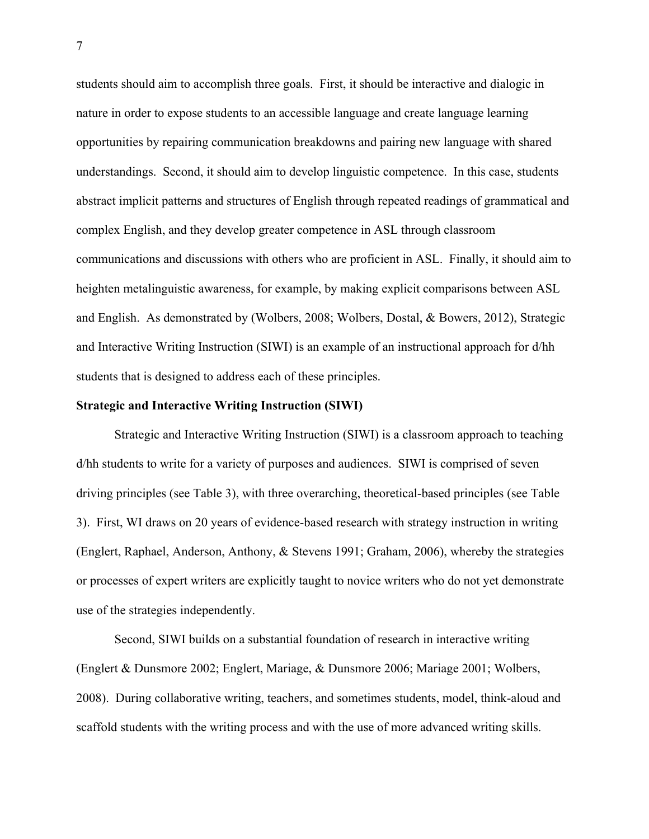students should aim to accomplish three goals. First, it should be interactive and dialogic in nature in order to expose students to an accessible language and create language learning opportunities by repairing communication breakdowns and pairing new language with shared understandings. Second, it should aim to develop linguistic competence. In this case, students abstract implicit patterns and structures of English through repeated readings of grammatical and complex English, and they develop greater competence in ASL through classroom communications and discussions with others who are proficient in ASL. Finally, it should aim to heighten metalinguistic awareness, for example, by making explicit comparisons between ASL and English. As demonstrated by (Wolbers, 2008; Wolbers, Dostal, & Bowers, 2012), Strategic and Interactive Writing Instruction (SIWI) is an example of an instructional approach for d/hh students that is designed to address each of these principles.

#### **Strategic and Interactive Writing Instruction (SIWI)**

Strategic and Interactive Writing Instruction (SIWI) is a classroom approach to teaching d/hh students to write for a variety of purposes and audiences. SIWI is comprised of seven driving principles (see Table 3), with three overarching, theoretical-based principles (see Table 3). First, WI draws on 20 years of evidence-based research with strategy instruction in writing (Englert, Raphael, Anderson, Anthony, & Stevens 1991; Graham, 2006), whereby the strategies or processes of expert writers are explicitly taught to novice writers who do not yet demonstrate use of the strategies independently.

Second, SIWI builds on a substantial foundation of research in interactive writing (Englert & Dunsmore 2002; Englert, Mariage, & Dunsmore 2006; Mariage 2001; Wolbers, 2008). During collaborative writing, teachers, and sometimes students, model, think-aloud and scaffold students with the writing process and with the use of more advanced writing skills.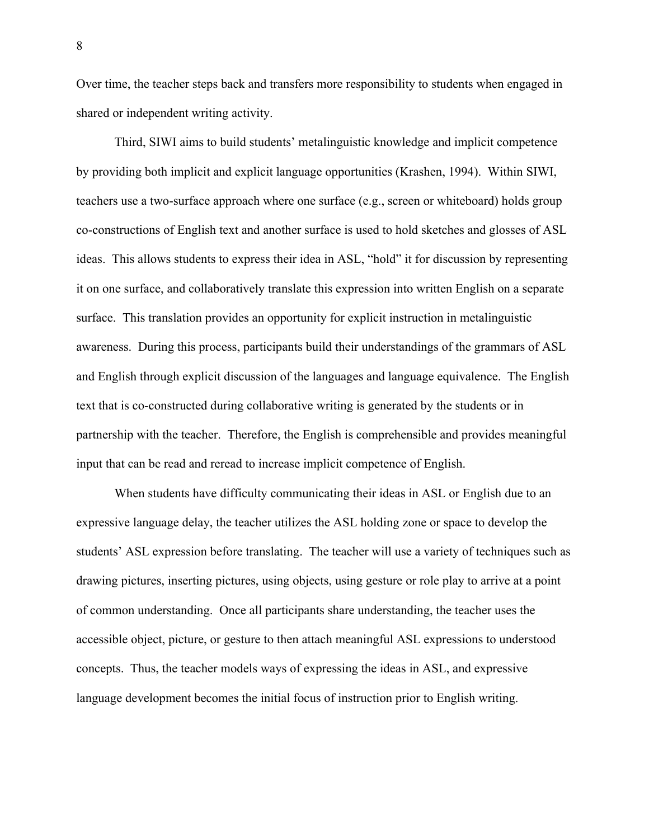Over time, the teacher steps back and transfers more responsibility to students when engaged in shared or independent writing activity.

Third, SIWI aims to build students' metalinguistic knowledge and implicit competence by providing both implicit and explicit language opportunities (Krashen, 1994). Within SIWI, teachers use a two-surface approach where one surface (e.g., screen or whiteboard) holds group co-constructions of English text and another surface is used to hold sketches and glosses of ASL ideas. This allows students to express their idea in ASL, "hold" it for discussion by representing it on one surface, and collaboratively translate this expression into written English on a separate surface. This translation provides an opportunity for explicit instruction in metalinguistic awareness. During this process, participants build their understandings of the grammars of ASL and English through explicit discussion of the languages and language equivalence. The English text that is co-constructed during collaborative writing is generated by the students or in partnership with the teacher. Therefore, the English is comprehensible and provides meaningful input that can be read and reread to increase implicit competence of English.

When students have difficulty communicating their ideas in ASL or English due to an expressive language delay, the teacher utilizes the ASL holding zone or space to develop the students' ASL expression before translating. The teacher will use a variety of techniques such as drawing pictures, inserting pictures, using objects, using gesture or role play to arrive at a point of common understanding. Once all participants share understanding, the teacher uses the accessible object, picture, or gesture to then attach meaningful ASL expressions to understood concepts. Thus, the teacher models ways of expressing the ideas in ASL, and expressive language development becomes the initial focus of instruction prior to English writing.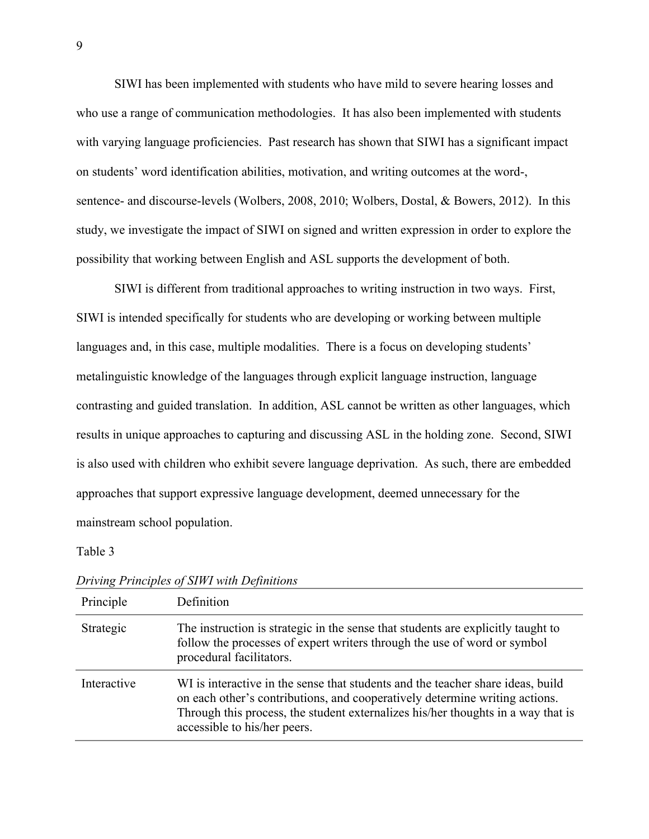SIWI has been implemented with students who have mild to severe hearing losses and who use a range of communication methodologies. It has also been implemented with students with varying language proficiencies. Past research has shown that SIWI has a significant impact on students' word identification abilities, motivation, and writing outcomes at the word-, sentence- and discourse-levels (Wolbers, 2008, 2010; Wolbers, Dostal, & Bowers, 2012). In this study, we investigate the impact of SIWI on signed and written expression in order to explore the possibility that working between English and ASL supports the development of both.

SIWI is different from traditional approaches to writing instruction in two ways. First, SIWI is intended specifically for students who are developing or working between multiple languages and, in this case, multiple modalities. There is a focus on developing students' metalinguistic knowledge of the languages through explicit language instruction, language contrasting and guided translation. In addition, ASL cannot be written as other languages, which results in unique approaches to capturing and discussing ASL in the holding zone. Second, SIWI is also used with children who exhibit severe language deprivation. As such, there are embedded approaches that support expressive language development, deemed unnecessary for the mainstream school population.

#### Table 3

| Principle   | Definition                                                                                                                                                                                                                                                                         |
|-------------|------------------------------------------------------------------------------------------------------------------------------------------------------------------------------------------------------------------------------------------------------------------------------------|
| Strategic   | The instruction is strategic in the sense that students are explicitly taught to<br>follow the processes of expert writers through the use of word or symbol<br>procedural facilitators.                                                                                           |
| Interactive | WI is interactive in the sense that students and the teacher share ideas, build<br>on each other's contributions, and cooperatively determine writing actions.<br>Through this process, the student externalizes his/her thoughts in a way that is<br>accessible to his/her peers. |

*Driving Principles of SIWI with Definitions*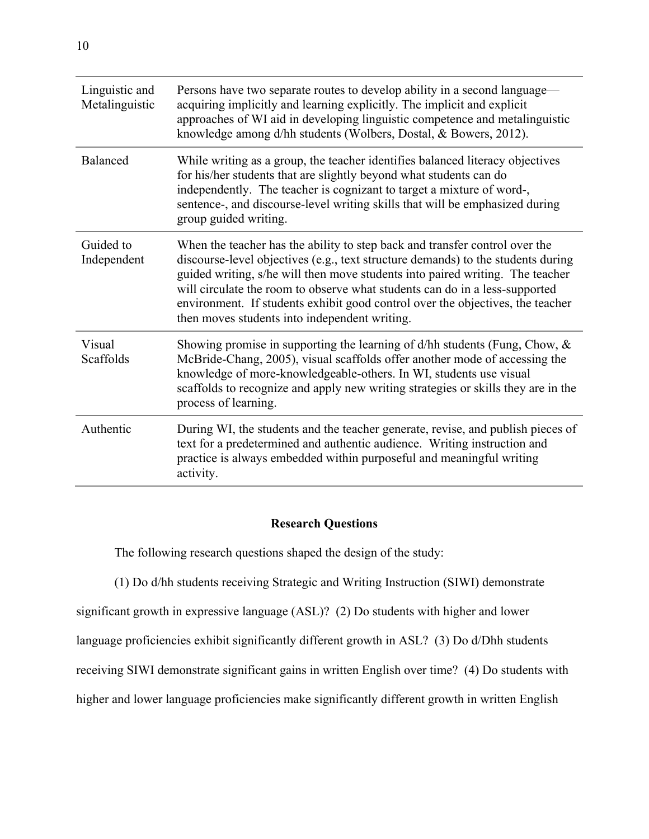| Linguistic and<br>Metalinguistic | Persons have two separate routes to develop ability in a second language—<br>acquiring implicitly and learning explicitly. The implicit and explicit<br>approaches of WI aid in developing linguistic competence and metalinguistic<br>knowledge among d/hh students (Wolbers, Dostal, & Bowers, 2012).                                                                                                                                                            |
|----------------------------------|--------------------------------------------------------------------------------------------------------------------------------------------------------------------------------------------------------------------------------------------------------------------------------------------------------------------------------------------------------------------------------------------------------------------------------------------------------------------|
| Balanced                         | While writing as a group, the teacher identifies balanced literacy objectives<br>for his/her students that are slightly beyond what students can do<br>independently. The teacher is cognizant to target a mixture of word-,<br>sentence-, and discourse-level writing skills that will be emphasized during<br>group guided writing.                                                                                                                              |
| Guided to<br>Independent         | When the teacher has the ability to step back and transfer control over the<br>discourse-level objectives (e.g., text structure demands) to the students during<br>guided writing, s/he will then move students into paired writing. The teacher<br>will circulate the room to observe what students can do in a less-supported<br>environment. If students exhibit good control over the objectives, the teacher<br>then moves students into independent writing. |
| Visual<br>Scaffolds              | Showing promise in supporting the learning of $d/hh$ students (Fung, Chow, $\&$<br>McBride-Chang, 2005), visual scaffolds offer another mode of accessing the<br>knowledge of more-knowledgeable-others. In WI, students use visual<br>scaffolds to recognize and apply new writing strategies or skills they are in the<br>process of learning.                                                                                                                   |
| Authentic                        | During WI, the students and the teacher generate, revise, and publish pieces of<br>text for a predetermined and authentic audience. Writing instruction and<br>practice is always embedded within purposeful and meaningful writing<br>activity.                                                                                                                                                                                                                   |

# **Research Questions**

The following research questions shaped the design of the study:

(1) Do d/hh students receiving Strategic and Writing Instruction (SIWI) demonstrate

significant growth in expressive language (ASL)? (2) Do students with higher and lower

language proficiencies exhibit significantly different growth in ASL? (3) Do d/Dhh students

receiving SIWI demonstrate significant gains in written English over time? (4) Do students with

higher and lower language proficiencies make significantly different growth in written English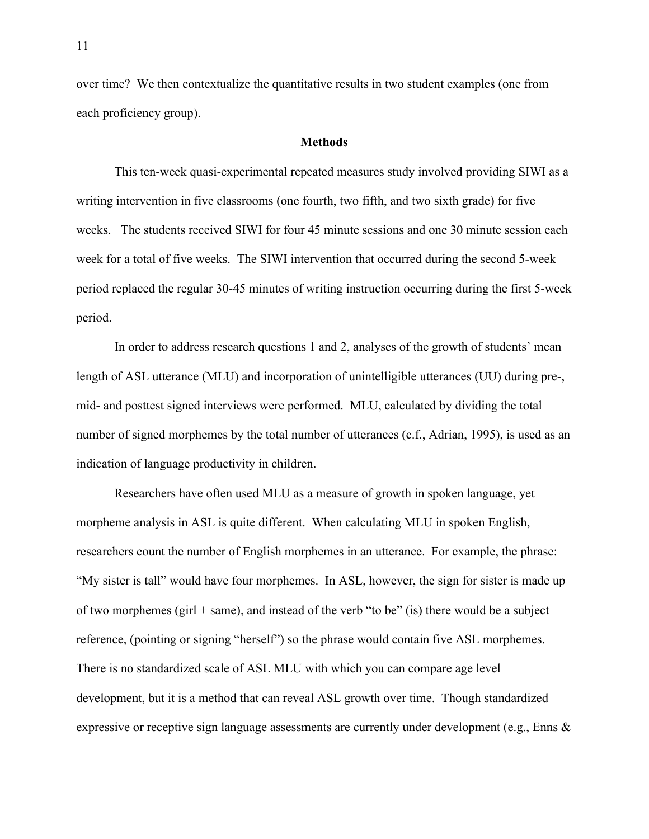over time? We then contextualize the quantitative results in two student examples (one from each proficiency group).

#### **Methods**

This ten-week quasi-experimental repeated measures study involved providing SIWI as a writing intervention in five classrooms (one fourth, two fifth, and two sixth grade) for five weeks. The students received SIWI for four 45 minute sessions and one 30 minute session each week for a total of five weeks. The SIWI intervention that occurred during the second 5-week period replaced the regular 30-45 minutes of writing instruction occurring during the first 5-week period.

In order to address research questions 1 and 2, analyses of the growth of students' mean length of ASL utterance (MLU) and incorporation of unintelligible utterances (UU) during pre-, mid- and posttest signed interviews were performed. MLU, calculated by dividing the total number of signed morphemes by the total number of utterances (c.f., Adrian, 1995), is used as an indication of language productivity in children.

Researchers have often used MLU as a measure of growth in spoken language, yet morpheme analysis in ASL is quite different. When calculating MLU in spoken English, researchers count the number of English morphemes in an utterance. For example, the phrase: "My sister is tall" would have four morphemes. In ASL, however, the sign for sister is made up of two morphemes (girl  $+$  same), and instead of the verb "to be" (is) there would be a subject reference, (pointing or signing "herself") so the phrase would contain five ASL morphemes. There is no standardized scale of ASL MLU with which you can compare age level development, but it is a method that can reveal ASL growth over time. Though standardized expressive or receptive sign language assessments are currently under development (e.g., Enns &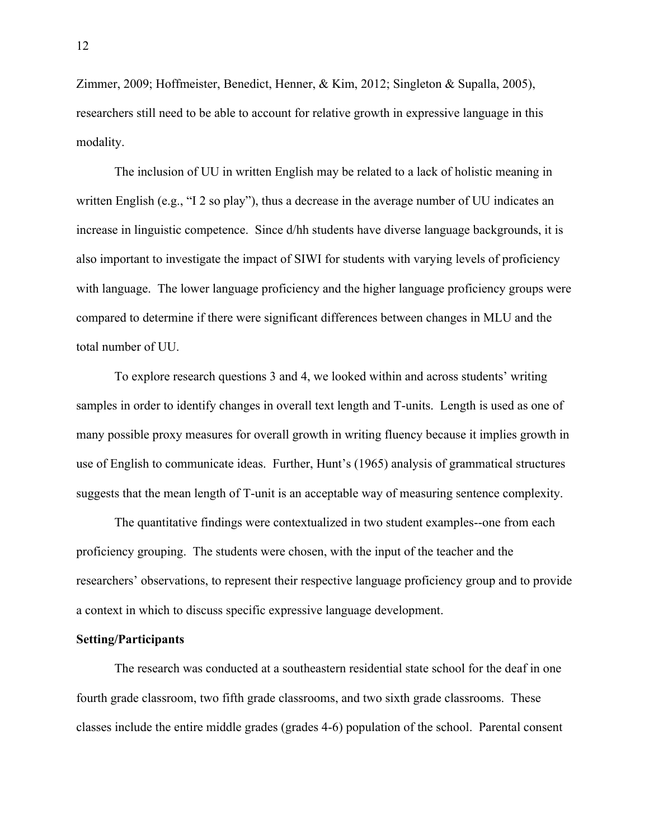Zimmer, 2009; Hoffmeister, Benedict, Henner, & Kim, 2012; Singleton & Supalla, 2005), researchers still need to be able to account for relative growth in expressive language in this modality.

The inclusion of UU in written English may be related to a lack of holistic meaning in written English (e.g., "I 2 so play"), thus a decrease in the average number of UU indicates an increase in linguistic competence. Since d/hh students have diverse language backgrounds, it is also important to investigate the impact of SIWI for students with varying levels of proficiency with language. The lower language proficiency and the higher language proficiency groups were compared to determine if there were significant differences between changes in MLU and the total number of UU.

To explore research questions 3 and 4, we looked within and across students' writing samples in order to identify changes in overall text length and T-units. Length is used as one of many possible proxy measures for overall growth in writing fluency because it implies growth in use of English to communicate ideas. Further, Hunt's (1965) analysis of grammatical structures suggests that the mean length of T-unit is an acceptable way of measuring sentence complexity.

The quantitative findings were contextualized in two student examples--one from each proficiency grouping. The students were chosen, with the input of the teacher and the researchers' observations, to represent their respective language proficiency group and to provide a context in which to discuss specific expressive language development.

#### **Setting/Participants**

The research was conducted at a southeastern residential state school for the deaf in one fourth grade classroom, two fifth grade classrooms, and two sixth grade classrooms. These classes include the entire middle grades (grades 4-6) population of the school. Parental consent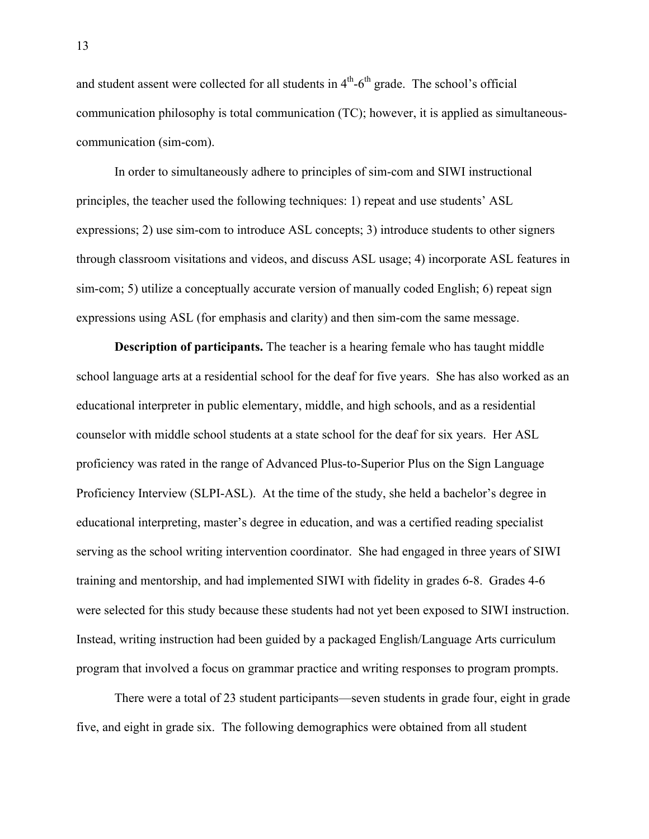and student assent were collected for all students in  $4<sup>th</sup>$ - $6<sup>th</sup>$  grade. The school's official communication philosophy is total communication (TC); however, it is applied as simultaneouscommunication (sim-com).

In order to simultaneously adhere to principles of sim-com and SIWI instructional principles, the teacher used the following techniques: 1) repeat and use students' ASL expressions; 2) use sim-com to introduce ASL concepts; 3) introduce students to other signers through classroom visitations and videos, and discuss ASL usage; 4) incorporate ASL features in sim-com; 5) utilize a conceptually accurate version of manually coded English; 6) repeat sign expressions using ASL (for emphasis and clarity) and then sim-com the same message.

**Description of participants.** The teacher is a hearing female who has taught middle school language arts at a residential school for the deaf for five years. She has also worked as an educational interpreter in public elementary, middle, and high schools, and as a residential counselor with middle school students at a state school for the deaf for six years. Her ASL proficiency was rated in the range of Advanced Plus-to-Superior Plus on the Sign Language Proficiency Interview (SLPI-ASL). At the time of the study, she held a bachelor's degree in educational interpreting, master's degree in education, and was a certified reading specialist serving as the school writing intervention coordinator. She had engaged in three years of SIWI training and mentorship, and had implemented SIWI with fidelity in grades 6-8. Grades 4-6 were selected for this study because these students had not yet been exposed to SIWI instruction. Instead, writing instruction had been guided by a packaged English/Language Arts curriculum program that involved a focus on grammar practice and writing responses to program prompts.

There were a total of 23 student participants—seven students in grade four, eight in grade five, and eight in grade six. The following demographics were obtained from all student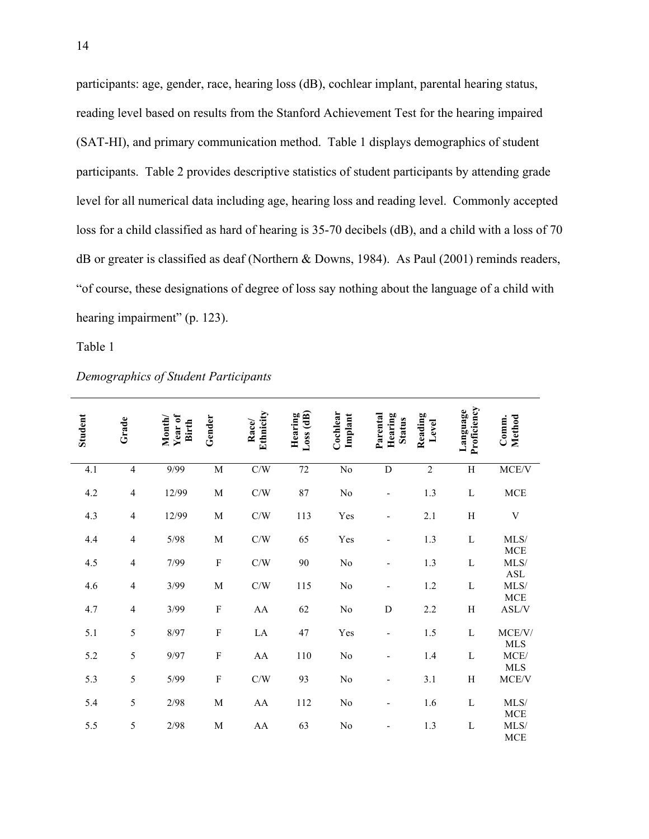participants: age, gender, race, hearing loss (dB), cochlear implant, parental hearing status, reading level based on results from the Stanford Achievement Test for the hearing impaired (SAT-HI), and primary communication method. Table 1 displays demographics of student participants. Table 2 provides descriptive statistics of student participants by attending grade level for all numerical data including age, hearing loss and reading level. Commonly accepted loss for a child classified as hard of hearing is 35-70 decibels (dB), and a child with a loss of 70 dB or greater is classified as deaf (Northern & Downs, 1984). As Paul (2001) reminds readers, "of course, these designations of degree of loss say nothing about the language of a child with hearing impairment" (p. 123).

Table 1

| <b>Student</b> | Grade                    | Year of<br>Month/<br>Birth | Gender         | Ethnicity<br>Race | Loss(dB)<br>Hearing | Cochlear<br>Implant    | Parental<br>Hearing<br><b>Status</b> | Reading<br>$_{\rm Level}$ | Proficiency<br>Language | Method<br>Comm.                             |
|----------------|--------------------------|----------------------------|----------------|-------------------|---------------------|------------------------|--------------------------------------|---------------------------|-------------------------|---------------------------------------------|
| 4.1            | $\overline{4}$           | 9/99                       | $\overline{M}$ | C/W               | $\overline{72}$     | $\overline{\text{No}}$ | $\overline{D}$                       | $\overline{2}$            | $\overline{H}$          | MCE/V                                       |
| 4.2            | $\overline{4}$           | 12/99                      | $\mathbf M$    | C/W               | $87\,$              | No                     |                                      | 1.3                       | L                       | MCE                                         |
| 4.3            | $\overline{\mathcal{A}}$ | 12/99                      | $\mathbf M$    | C/W               | 113                 | Yes                    |                                      | 2.1                       | $H_{\rm}$               | $\ensuremath{\mathbf{V}}$                   |
| 4.4            | $\overline{4}$           | 5/98                       | $\mathbf M$    | C/W               | 65                  | Yes                    | ۰                                    | 1.3                       | L                       | MLS/<br><b>MCE</b>                          |
| 4.5            | $\overline{\mathcal{A}}$ | 7/99                       | F              | C/W               | 90                  | $\rm No$               |                                      | 1.3                       | L                       | MLS/                                        |
| 4.6            | $\overline{\mathcal{A}}$ | 3/99                       | $\mathbf M$    | C/W               | 115                 | No                     |                                      | 1.2                       | L                       | <b>ASL</b><br>MLS/                          |
| 4.7            | $\overline{\mathcal{A}}$ | 3/99                       | $\mathbf F$    | AA                | 62                  | $\rm No$               | D                                    | 2.2                       | H                       | $_{\mathrm{MCE}}$<br>$\operatorname{ASL/V}$ |
| 5.1            | 5                        | 8/97                       | $\mathbf{F}$   | LA                | 47                  | Yes                    |                                      | 1.5                       | L                       | MCE/V/                                      |
| 5.2            | 5                        | 9/97                       | $\mathbf F$    | AA                | 110                 | No                     |                                      | 1.4                       | L                       | ${\rm MLS}$<br>MCE/                         |
| 5.3            | 5                        | 5/99                       | $\mathbf F$    | C/W               | 93                  | $\rm No$               |                                      | 3.1                       | H                       | <b>MLS</b><br>MCE/V                         |
| 5.4            | 5                        | 2/98                       | $\mathbf M$    | AA                | 112                 | No                     | ٠                                    | 1.6                       | L                       | MLS/                                        |
| 5.5            | 5                        | 2/98                       | $\mathbf M$    | AA                | 63                  | N <sub>0</sub>         |                                      | 1.3                       | L                       | <b>MCE</b><br>MLS/<br><b>MCE</b>            |

### *Demographics of Student Participants*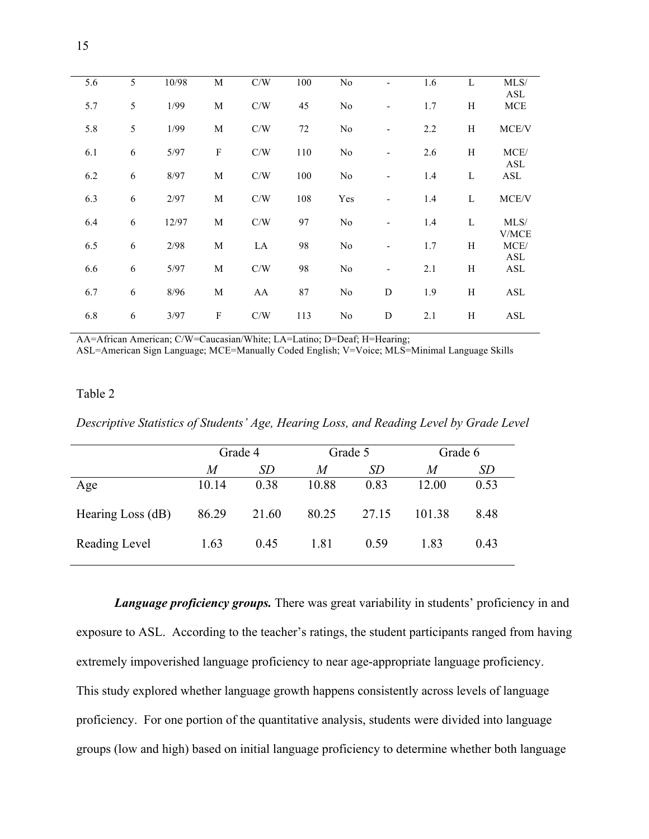| 5.6 | 5 | 10/98 | M                         | C/W | 100 | No             |                              | 1.6 | L | MLS/          |
|-----|---|-------|---------------------------|-----|-----|----------------|------------------------------|-----|---|---------------|
| 5.7 | 5 | 1/99  | $\mathbf M$               | C/W | 45  | No             |                              | 1.7 | H | ASL<br>MCE    |
| 5.8 | 5 | 1/99  | $\mathbf M$               | C/W | 72  | No             |                              | 2.2 | H | MCE/V         |
| 6.1 | 6 | 5/97  | $\boldsymbol{F}$          | C/W | 110 | No             | $\qquad \qquad \blacksquare$ | 2.6 | H | MCE/          |
| 6.2 | 6 | 8/97  | $\mathbf M$               | C/W | 100 | No             |                              | 1.4 | L | ASL<br>ASL    |
| 6.3 | 6 | 2/97  | $\mathbf M$               | C/W | 108 | Yes            | $\qquad \qquad \blacksquare$ | 1.4 | L | MCE/V         |
| 6.4 | 6 | 12/97 | M                         | C/W | 97  | N <sub>0</sub> |                              | 1.4 | L | MLS/<br>V/MCE |
| 6.5 | 6 | 2/98  | $\mathbf M$               | LA  | 98  | N <sub>0</sub> | $\qquad \qquad \blacksquare$ | 1.7 | H | MCE/<br>ASL   |
| 6.6 | 6 | 5/97  | $\mathbf M$               | C/W | 98  | No             | $\qquad \qquad \blacksquare$ | 2.1 | H | ASL           |
| 6.7 | 6 | 8/96  | M                         | AA  | 87  | N <sub>0</sub> | D                            | 1.9 | H | ASL           |
| 6.8 | 6 | 3/97  | $\boldsymbol{\mathrm{F}}$ | C/W | 113 | No             | D                            | 2.1 | H | ASL           |
|     |   |       |                           |     |     |                |                              |     |   |               |

AA=African American; C/W=Caucasian/White; LA=Latino; D=Deaf; H=Hearing; ASL=American Sign Language; MCE=Manually Coded English; V=Voice; MLS=Minimal Language Skills

### Table 2

*Descriptive Statistics of Students' Age, Hearing Loss, and Reading Level by Grade Level*

|                   | Grade 4 |       | Grade 5 |           | Grade 6 |      |
|-------------------|---------|-------|---------|-----------|---------|------|
|                   | M       | SD    | M       | <i>SD</i> | M       | SD   |
| Age               | 10.14   | 0.38  | 10.88   | 0.83      | 12.00   | 0.53 |
| Hearing Loss (dB) | 86.29   | 21.60 | 80.25   | 27.15     | 101.38  | 8.48 |
| Reading Level     | 1.63    | 0.45  | 1.81    | 0.59      | 1.83    | 0.43 |

*Language proficiency groups.* There was great variability in students' proficiency in and exposure to ASL. According to the teacher's ratings, the student participants ranged from having extremely impoverished language proficiency to near age-appropriate language proficiency. This study explored whether language growth happens consistently across levels of language proficiency. For one portion of the quantitative analysis, students were divided into language groups (low and high) based on initial language proficiency to determine whether both language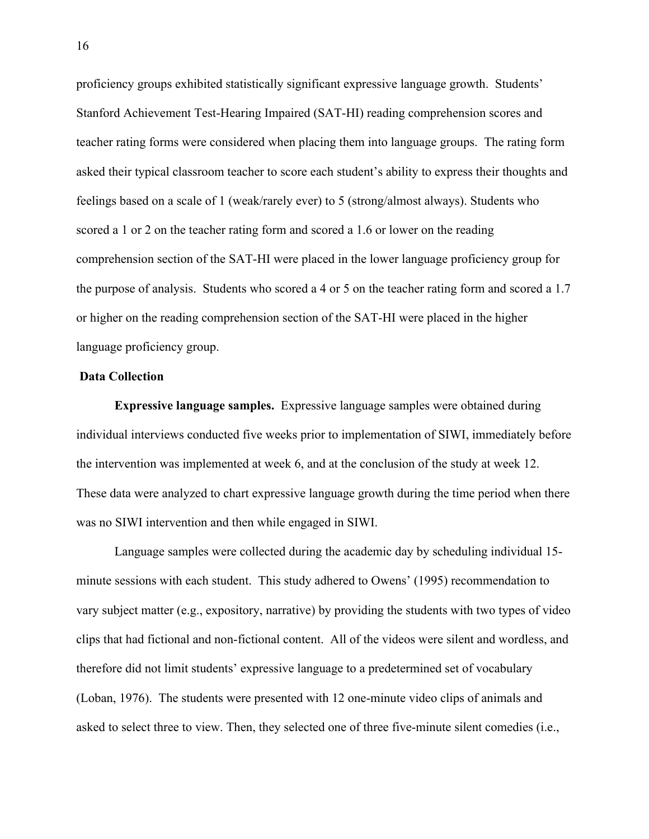proficiency groups exhibited statistically significant expressive language growth. Students' Stanford Achievement Test-Hearing Impaired (SAT-HI) reading comprehension scores and teacher rating forms were considered when placing them into language groups. The rating form asked their typical classroom teacher to score each student's ability to express their thoughts and feelings based on a scale of 1 (weak/rarely ever) to 5 (strong/almost always). Students who scored a 1 or 2 on the teacher rating form and scored a 1.6 or lower on the reading comprehension section of the SAT-HI were placed in the lower language proficiency group for the purpose of analysis. Students who scored a 4 or 5 on the teacher rating form and scored a 1.7 or higher on the reading comprehension section of the SAT-HI were placed in the higher language proficiency group.

## **Data Collection**

**Expressive language samples.** Expressive language samples were obtained during individual interviews conducted five weeks prior to implementation of SIWI, immediately before the intervention was implemented at week 6, and at the conclusion of the study at week 12. These data were analyzed to chart expressive language growth during the time period when there was no SIWI intervention and then while engaged in SIWI.

Language samples were collected during the academic day by scheduling individual 15 minute sessions with each student. This study adhered to Owens' (1995) recommendation to vary subject matter (e.g., expository, narrative) by providing the students with two types of video clips that had fictional and non-fictional content. All of the videos were silent and wordless, and therefore did not limit students' expressive language to a predetermined set of vocabulary (Loban, 1976). The students were presented with 12 one-minute video clips of animals and asked to select three to view. Then, they selected one of three five-minute silent comedies (i.e.,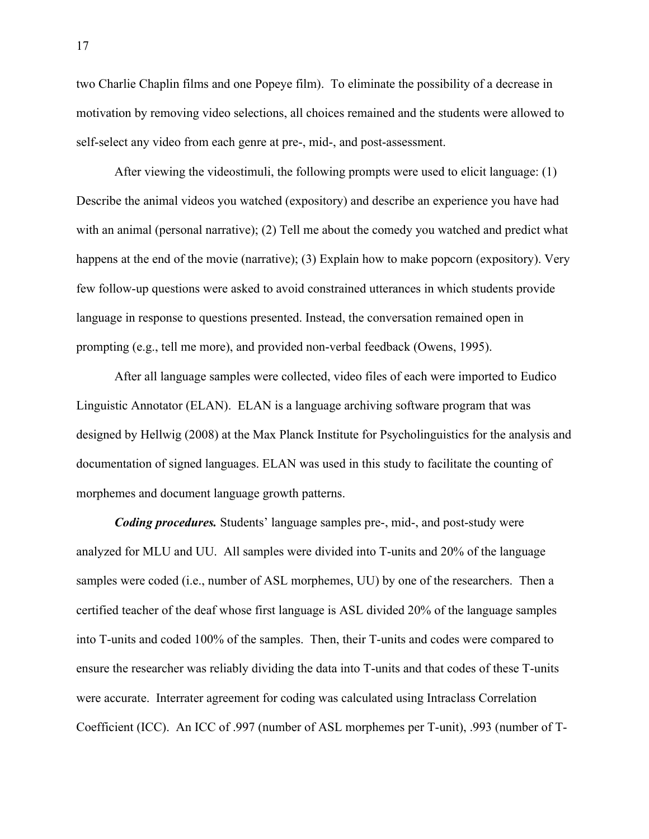two Charlie Chaplin films and one Popeye film). To eliminate the possibility of a decrease in motivation by removing video selections, all choices remained and the students were allowed to self-select any video from each genre at pre-, mid-, and post-assessment.

After viewing the videostimuli, the following prompts were used to elicit language: (1) Describe the animal videos you watched (expository) and describe an experience you have had with an animal (personal narrative); (2) Tell me about the comedy you watched and predict what happens at the end of the movie (narrative); (3) Explain how to make popcorn (expository). Very few follow-up questions were asked to avoid constrained utterances in which students provide language in response to questions presented. Instead, the conversation remained open in prompting (e.g., tell me more), and provided non-verbal feedback (Owens, 1995).

After all language samples were collected, video files of each were imported to Eudico Linguistic Annotator (ELAN). ELAN is a language archiving software program that was designed by Hellwig (2008) at the Max Planck Institute for Psycholinguistics for the analysis and documentation of signed languages. ELAN was used in this study to facilitate the counting of morphemes and document language growth patterns.

*Coding procedures.* Students' language samples pre-, mid-, and post-study were analyzed for MLU and UU. All samples were divided into T-units and 20% of the language samples were coded (i.e., number of ASL morphemes, UU) by one of the researchers. Then a certified teacher of the deaf whose first language is ASL divided 20% of the language samples into T-units and coded 100% of the samples. Then, their T-units and codes were compared to ensure the researcher was reliably dividing the data into T-units and that codes of these T-units were accurate. Interrater agreement for coding was calculated using Intraclass Correlation Coefficient (ICC). An ICC of .997 (number of ASL morphemes per T-unit), .993 (number of T-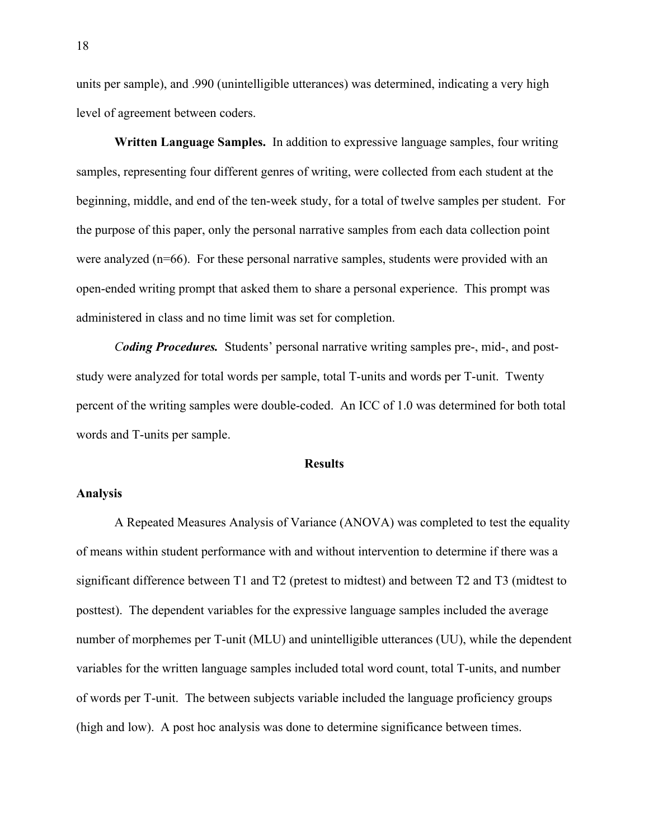units per sample), and .990 (unintelligible utterances) was determined, indicating a very high level of agreement between coders.

**Written Language Samples.** In addition to expressive language samples, four writing samples, representing four different genres of writing, were collected from each student at the beginning, middle, and end of the ten-week study, for a total of twelve samples per student. For the purpose of this paper, only the personal narrative samples from each data collection point were analyzed (n=66). For these personal narrative samples, students were provided with an open-ended writing prompt that asked them to share a personal experience. This prompt was administered in class and no time limit was set for completion.

*Coding Procedures.* Students' personal narrative writing samples pre-, mid-, and poststudy were analyzed for total words per sample, total T-units and words per T-unit. Twenty percent of the writing samples were double-coded. An ICC of 1.0 was determined for both total words and T-units per sample.

#### **Results**

# **Analysis**

A Repeated Measures Analysis of Variance (ANOVA) was completed to test the equality of means within student performance with and without intervention to determine if there was a significant difference between T1 and T2 (pretest to midtest) and between T2 and T3 (midtest to posttest). The dependent variables for the expressive language samples included the average number of morphemes per T-unit (MLU) and unintelligible utterances (UU), while the dependent variables for the written language samples included total word count, total T-units, and number of words per T-unit. The between subjects variable included the language proficiency groups (high and low). A post hoc analysis was done to determine significance between times.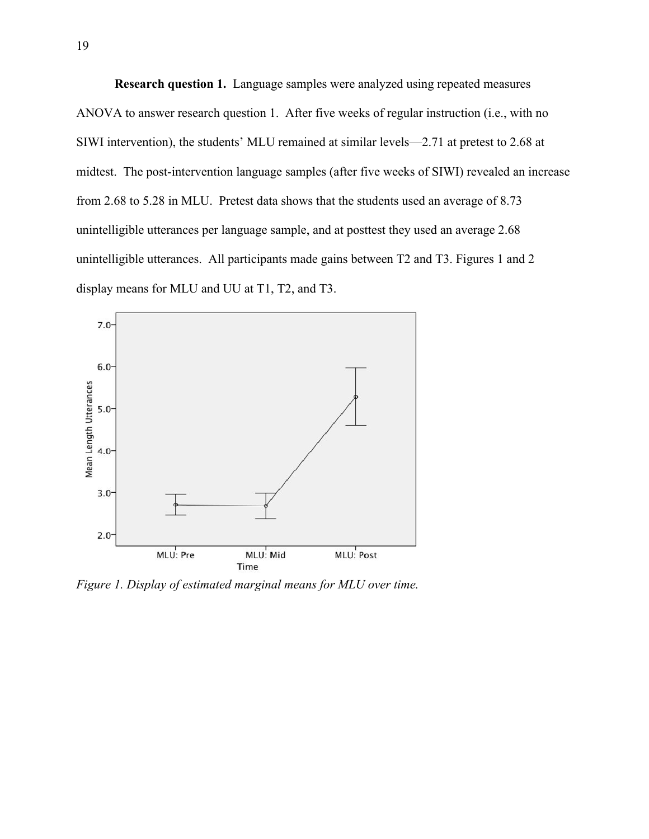**Research question 1.** Language samples were analyzed using repeated measures ANOVA to answer research question 1. After five weeks of regular instruction (i.e., with no SIWI intervention), the students' MLU remained at similar levels—2.71 at pretest to 2.68 at midtest. The post-intervention language samples (after five weeks of SIWI) revealed an increase from 2.68 to 5.28 in MLU. Pretest data shows that the students used an average of 8.73 unintelligible utterances per language sample, and at posttest they used an average 2.68 unintelligible utterances. All participants made gains between T2 and T3. Figures 1 and 2 display means for MLU and UU at T1, T2, and T3.



*Figure 1. Display of estimated marginal means for MLU over time.*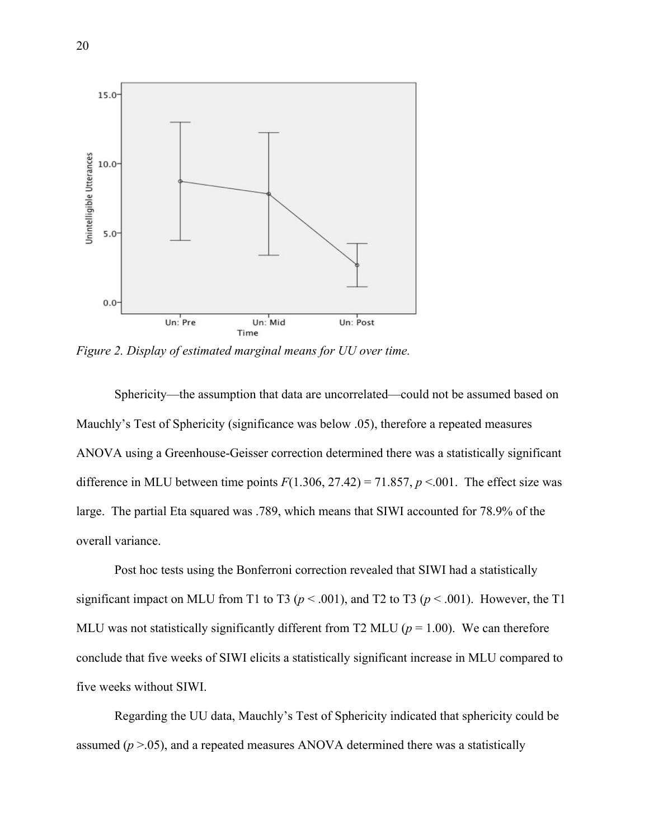

*Figure 2. Display of estimated marginal means for UU over time.*

Sphericity—the assumption that data are uncorrelated—could not be assumed based on Mauchly's Test of Sphericity (significance was below .05), therefore a repeated measures ANOVA using a Greenhouse-Geisser correction determined there was a statistically significant difference in MLU between time points  $F(1.306, 27.42) = 71.857, p \lt 0.001$ . The effect size was large. The partial Eta squared was .789, which means that SIWI accounted for 78.9% of the overall variance.

Post hoc tests using the Bonferroni correction revealed that SIWI had a statistically significant impact on MLU from T1 to T3 ( $p < .001$ ), and T2 to T3 ( $p < .001$ ). However, the T1 MLU was not statistically significantly different from T2 MLU ( $p = 1.00$ ). We can therefore conclude that five weeks of SIWI elicits a statistically significant increase in MLU compared to five weeks without SIWI.

Regarding the UU data, Mauchly's Test of Sphericity indicated that sphericity could be assumed (*p* >.05), and a repeated measures ANOVA determined there was a statistically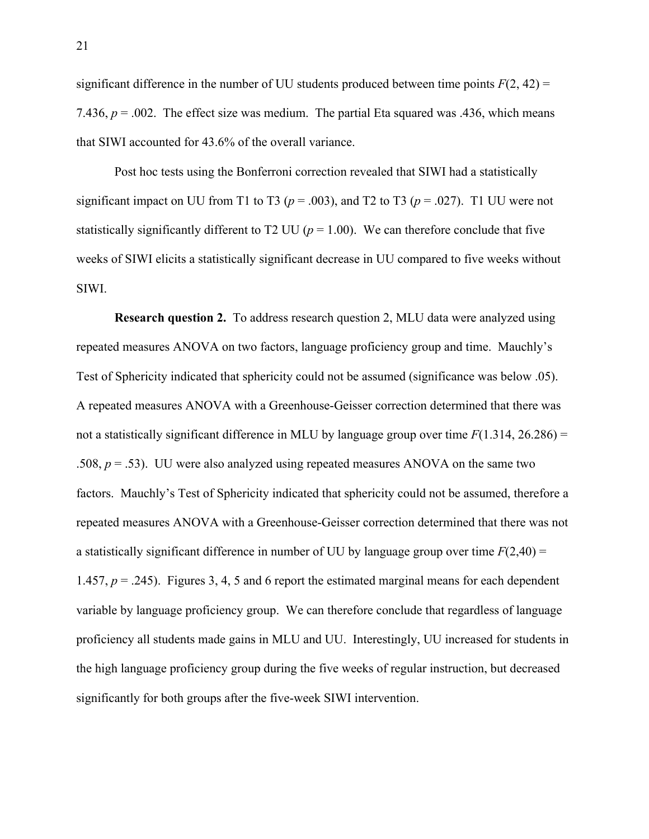significant difference in the number of UU students produced between time points  $F(2, 42) =$ 7.436,  $p = 0.002$ . The effect size was medium. The partial Eta squared was .436, which means that SIWI accounted for 43.6% of the overall variance.

Post hoc tests using the Bonferroni correction revealed that SIWI had a statistically significant impact on UU from T1 to T3 ( $p = .003$ ), and T2 to T3 ( $p = .027$ ). T1 UU were not statistically significantly different to T2 UU ( $p = 1.00$ ). We can therefore conclude that five weeks of SIWI elicits a statistically significant decrease in UU compared to five weeks without SIWI.

**Research question 2.** To address research question 2, MLU data were analyzed using repeated measures ANOVA on two factors, language proficiency group and time. Mauchly's Test of Sphericity indicated that sphericity could not be assumed (significance was below .05). A repeated measures ANOVA with a Greenhouse-Geisser correction determined that there was not a statistically significant difference in MLU by language group over time  $F(1.314, 26.286) =$ .508, *p* = .53). UU were also analyzed using repeated measures ANOVA on the same two factors. Mauchly's Test of Sphericity indicated that sphericity could not be assumed, therefore a repeated measures ANOVA with a Greenhouse-Geisser correction determined that there was not a statistically significant difference in number of UU by language group over time  $F(2,40) =$ 1.457,  $p = 0.245$ ). Figures 3, 4, 5 and 6 report the estimated marginal means for each dependent variable by language proficiency group. We can therefore conclude that regardless of language proficiency all students made gains in MLU and UU. Interestingly, UU increased for students in the high language proficiency group during the five weeks of regular instruction, but decreased significantly for both groups after the five-week SIWI intervention.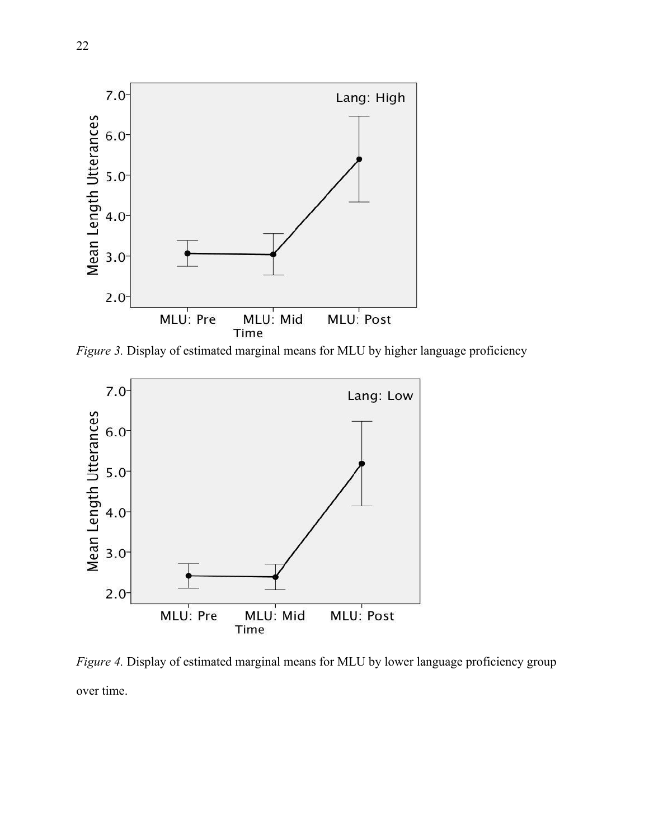

*Figure 3.* Display of estimated marginal means for MLU by higher language proficiency



*Figure 4.* Display of estimated marginal means for MLU by lower language proficiency group over time.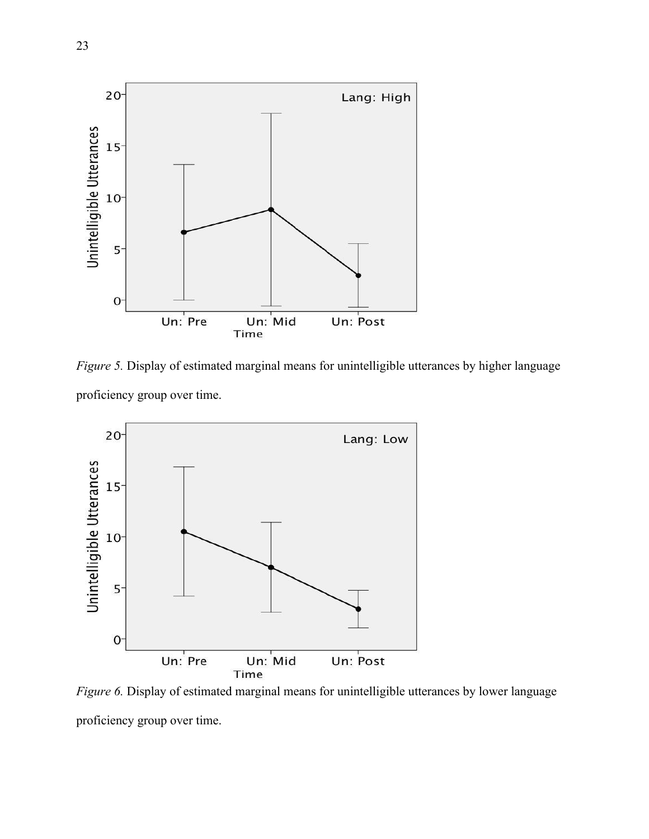

*Figure 5.* Display of estimated marginal means for unintelligible utterances by higher language proficiency group over time.



*Figure 6.* Display of estimated marginal means for unintelligible utterances by lower language proficiency group over time.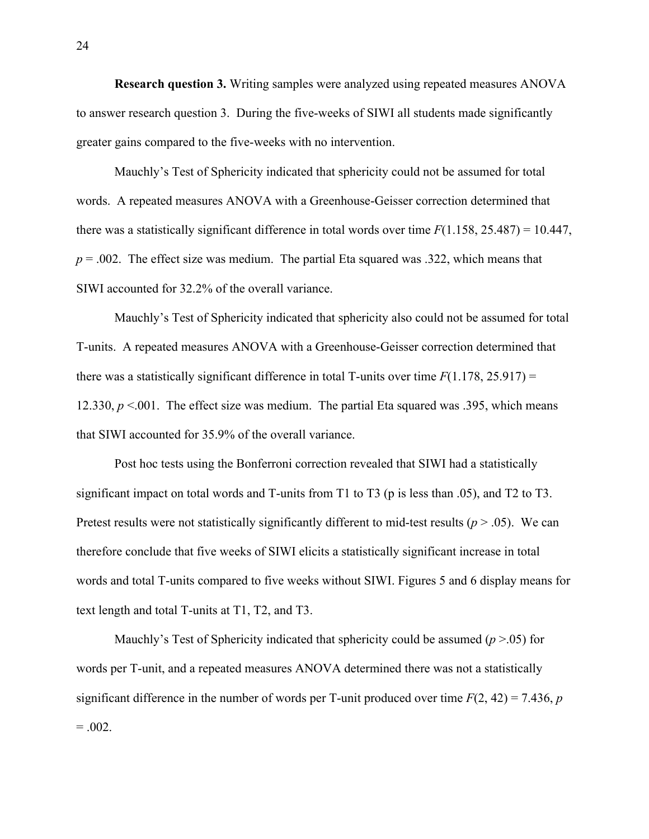**Research question 3.** Writing samples were analyzed using repeated measures ANOVA to answer research question 3. During the five-weeks of SIWI all students made significantly greater gains compared to the five-weeks with no intervention.

Mauchly's Test of Sphericity indicated that sphericity could not be assumed for total words. A repeated measures ANOVA with a Greenhouse-Geisser correction determined that there was a statistically significant difference in total words over time  $F(1.158, 25.487) = 10.447$ ,  $p = 0.002$ . The effect size was medium. The partial Eta squared was .322, which means that SIWI accounted for 32.2% of the overall variance.

Mauchly's Test of Sphericity indicated that sphericity also could not be assumed for total T-units. A repeated measures ANOVA with a Greenhouse-Geisser correction determined that there was a statistically significant difference in total T-units over time  $F(1.178, 25.917)$  = 12.330,  $p < 0.01$ . The effect size was medium. The partial Eta squared was .395, which means that SIWI accounted for 35.9% of the overall variance.

Post hoc tests using the Bonferroni correction revealed that SIWI had a statistically significant impact on total words and T-units from T1 to T3 (p is less than .05), and T2 to T3. Pretest results were not statistically significantly different to mid-test results (*p* > .05). We can therefore conclude that five weeks of SIWI elicits a statistically significant increase in total words and total T-units compared to five weeks without SIWI. Figures 5 and 6 display means for text length and total T-units at T1, T2, and T3.

Mauchly's Test of Sphericity indicated that sphericity could be assumed (*p* >.05) for words per T-unit, and a repeated measures ANOVA determined there was not a statistically significant difference in the number of words per T-unit produced over time  $F(2, 42) = 7.436$ , *p*  $= .002.$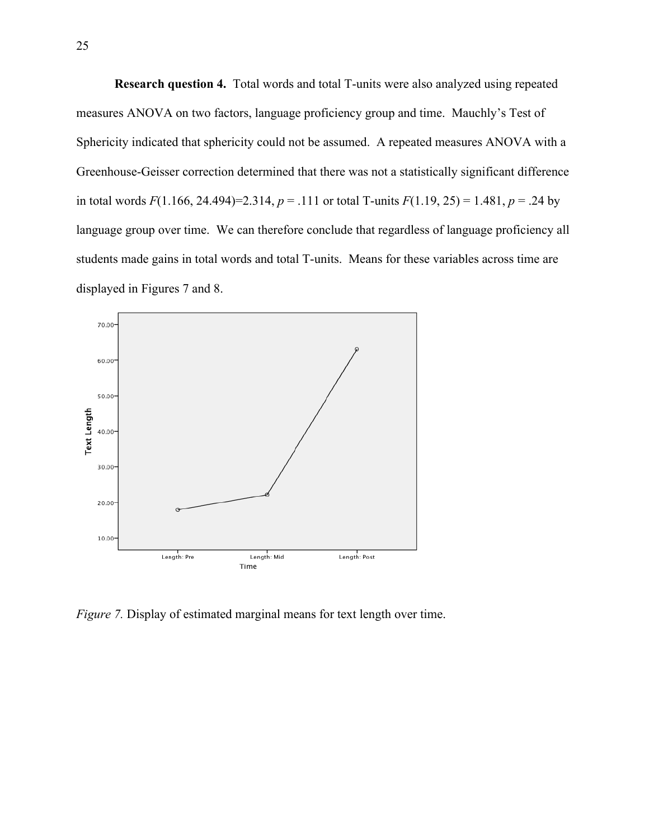**Research question 4.** Total words and total T-units were also analyzed using repeated measures ANOVA on two factors, language proficiency group and time. Mauchly's Test of Sphericity indicated that sphericity could not be assumed. A repeated measures ANOVA with a Greenhouse-Geisser correction determined that there was not a statistically significant difference in total words  $F(1.166, 24.494)=2.314$ ,  $p = .111$  or total T-units  $F(1.19, 25) = 1.481$ ,  $p = .24$  by language group over time. We can therefore conclude that regardless of language proficiency all students made gains in total words and total T-units. Means for these variables across time are displayed in Figures 7 and 8.



*Figure 7.* Display of estimated marginal means for text length over time.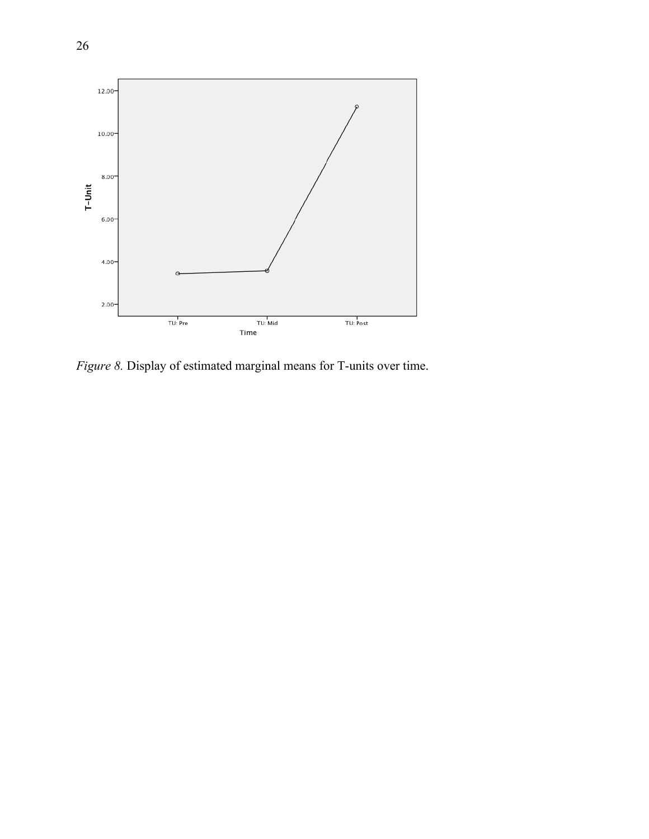

*Figure 8.* Display of estimated marginal means for T-units over time.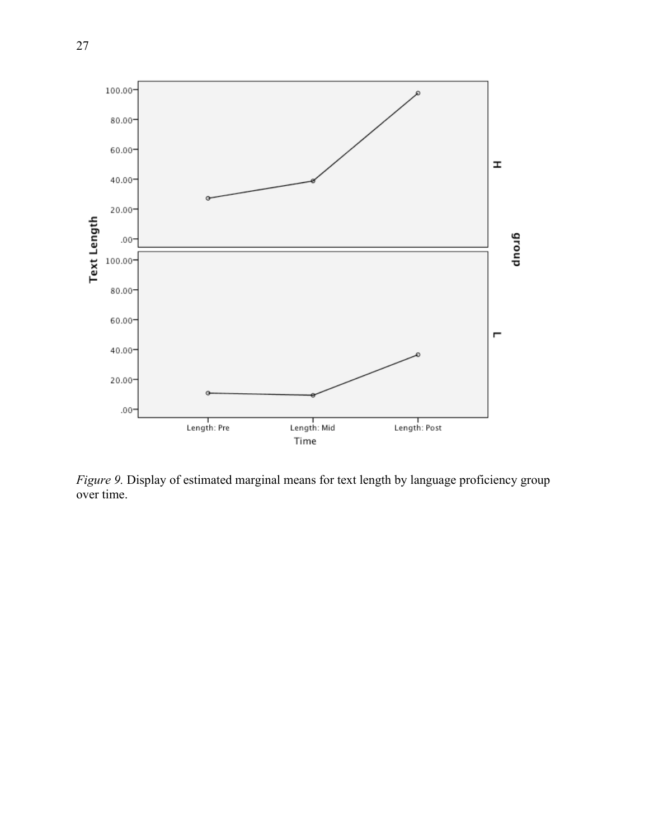

*Figure 9.* Display of estimated marginal means for text length by language proficiency group over time.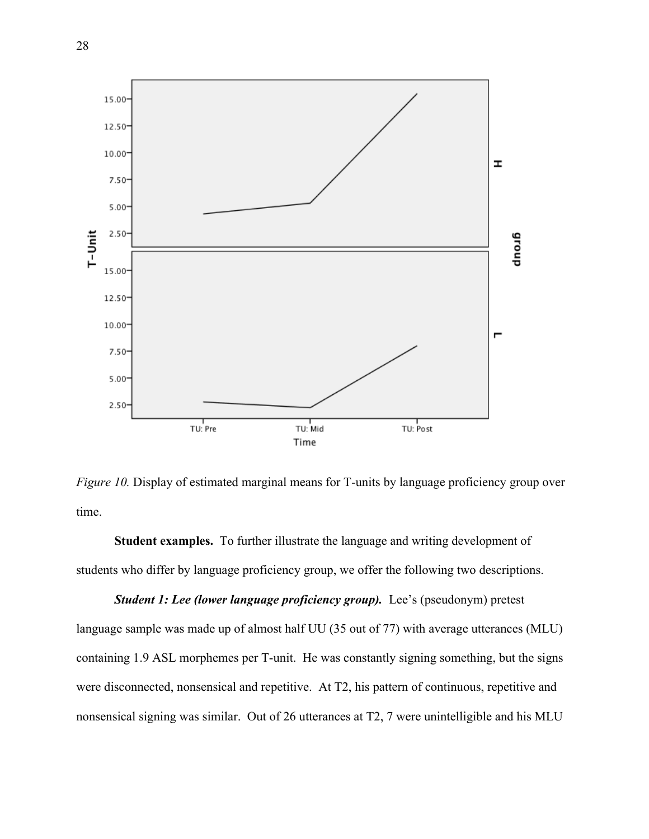

*Figure 10.* Display of estimated marginal means for T-units by language proficiency group over time.

**Student examples.** To further illustrate the language and writing development of students who differ by language proficiency group, we offer the following two descriptions.

*Student 1: Lee (lower language proficiency group).* Lee's (pseudonym) pretest language sample was made up of almost half UU (35 out of 77) with average utterances (MLU) containing 1.9 ASL morphemes per T-unit. He was constantly signing something, but the signs were disconnected, nonsensical and repetitive. At T2, his pattern of continuous, repetitive and nonsensical signing was similar. Out of 26 utterances at T2, 7 were unintelligible and his MLU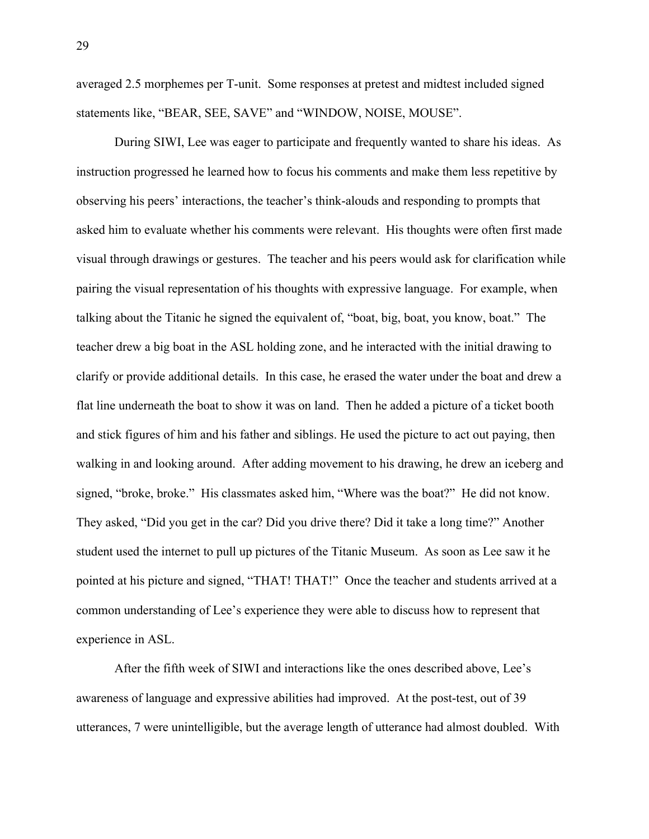averaged 2.5 morphemes per T-unit. Some responses at pretest and midtest included signed statements like, "BEAR, SEE, SAVE" and "WINDOW, NOISE, MOUSE".

During SIWI, Lee was eager to participate and frequently wanted to share his ideas. As instruction progressed he learned how to focus his comments and make them less repetitive by observing his peers' interactions, the teacher's think-alouds and responding to prompts that asked him to evaluate whether his comments were relevant. His thoughts were often first made visual through drawings or gestures. The teacher and his peers would ask for clarification while pairing the visual representation of his thoughts with expressive language. For example, when talking about the Titanic he signed the equivalent of, "boat, big, boat, you know, boat." The teacher drew a big boat in the ASL holding zone, and he interacted with the initial drawing to clarify or provide additional details. In this case, he erased the water under the boat and drew a flat line underneath the boat to show it was on land. Then he added a picture of a ticket booth and stick figures of him and his father and siblings. He used the picture to act out paying, then walking in and looking around. After adding movement to his drawing, he drew an iceberg and signed, "broke, broke." His classmates asked him, "Where was the boat?" He did not know. They asked, "Did you get in the car? Did you drive there? Did it take a long time?" Another student used the internet to pull up pictures of the Titanic Museum. As soon as Lee saw it he pointed at his picture and signed, "THAT! THAT!" Once the teacher and students arrived at a common understanding of Lee's experience they were able to discuss how to represent that experience in ASL.

After the fifth week of SIWI and interactions like the ones described above, Lee's awareness of language and expressive abilities had improved. At the post-test, out of 39 utterances, 7 were unintelligible, but the average length of utterance had almost doubled. With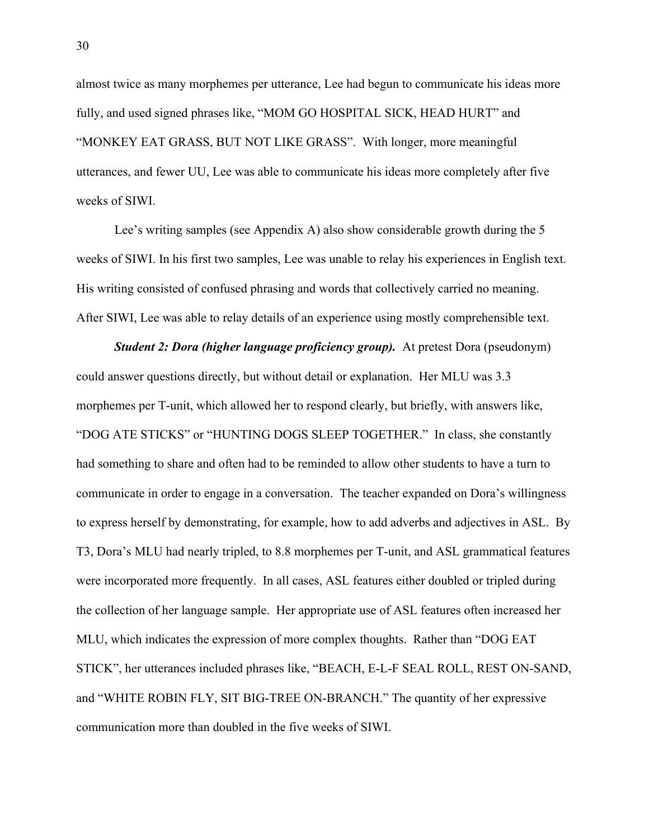almost twice as many morphemes per utterance, Lee had begun to communicate his ideas more fully, and used signed phrases like, "MOM GO HOSPITAL SICK, HEAD HURT" and "MONKEY EAT GRASS, BUT NOT LIKE GRASS". With longer, more meaningful utterances, and fewer UU, Lee was able to communicate his ideas more completely after five weeks of SIWI.

Lee's writing samples (see Appendix A) also show considerable growth during the 5 weeks of SIWI. In his first two samples, Lee was unable to relay his experiences in English text. His writing consisted of confused phrasing and words that collectively carried no meaning. After SIWI, Lee was able to relay details of an experience using mostly comprehensible text.

*Student 2: Dora (higher language proficiency group).* At pretest Dora (pseudonym) could answer questions directly, but without detail or explanation. Her MLU was 3.3 morphemes per T-unit, which allowed her to respond clearly, but briefly, with answers like, "DOG ATE STICKS" or "HUNTING DOGS SLEEP TOGETHER." In class, she constantly had something to share and often had to be reminded to allow other students to have a turn to communicate in order to engage in a conversation. The teacher expanded on Dora's willingness to express herself by demonstrating, for example, how to add adverbs and adjectives in ASL. By T3, Dora's MLU had nearly tripled, to 8.8 morphemes per T-unit, and ASL grammatical features were incorporated more frequently. In all cases, ASL features either doubled or tripled during the collection of her language sample. Her appropriate use of ASL features often increased her MLU, which indicates the expression of more complex thoughts. Rather than "DOG EAT STICK", her utterances included phrases like, "BEACH, E-L-F SEAL ROLL, REST ON-SAND, and "WHITE ROBIN FLY, SIT BIG-TREE ON-BRANCH." The quantity of her expressive communication more than doubled in the five weeks of SIWI.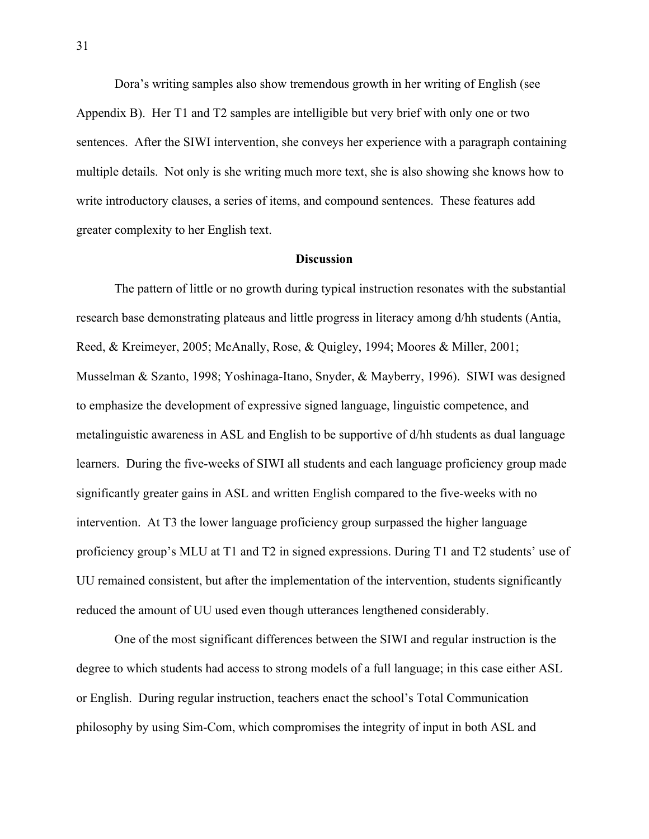Dora's writing samples also show tremendous growth in her writing of English (see Appendix B). Her T1 and T2 samples are intelligible but very brief with only one or two sentences. After the SIWI intervention, she conveys her experience with a paragraph containing multiple details. Not only is she writing much more text, she is also showing she knows how to write introductory clauses, a series of items, and compound sentences. These features add greater complexity to her English text.

#### **Discussion**

The pattern of little or no growth during typical instruction resonates with the substantial research base demonstrating plateaus and little progress in literacy among d/hh students (Antia, Reed, & Kreimeyer, 2005; McAnally, Rose, & Quigley, 1994; Moores & Miller, 2001; Musselman & Szanto, 1998; Yoshinaga-Itano, Snyder, & Mayberry, 1996). SIWI was designed to emphasize the development of expressive signed language, linguistic competence, and metalinguistic awareness in ASL and English to be supportive of d/hh students as dual language learners. During the five-weeks of SIWI all students and each language proficiency group made significantly greater gains in ASL and written English compared to the five-weeks with no intervention. At T3 the lower language proficiency group surpassed the higher language proficiency group's MLU at T1 and T2 in signed expressions. During T1 and T2 students' use of UU remained consistent, but after the implementation of the intervention, students significantly reduced the amount of UU used even though utterances lengthened considerably.

One of the most significant differences between the SIWI and regular instruction is the degree to which students had access to strong models of a full language; in this case either ASL or English. During regular instruction, teachers enact the school's Total Communication philosophy by using Sim-Com, which compromises the integrity of input in both ASL and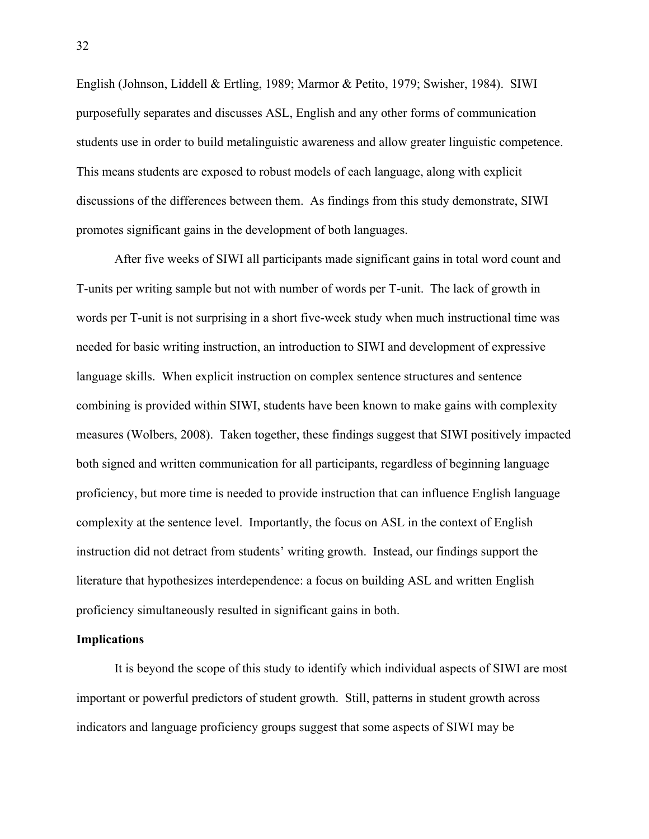English (Johnson, Liddell & Ertling, 1989; Marmor & Petito, 1979; Swisher, 1984). SIWI purposefully separates and discusses ASL, English and any other forms of communication students use in order to build metalinguistic awareness and allow greater linguistic competence. This means students are exposed to robust models of each language, along with explicit discussions of the differences between them. As findings from this study demonstrate, SIWI promotes significant gains in the development of both languages.

After five weeks of SIWI all participants made significant gains in total word count and T-units per writing sample but not with number of words per T-unit. The lack of growth in words per T-unit is not surprising in a short five-week study when much instructional time was needed for basic writing instruction, an introduction to SIWI and development of expressive language skills. When explicit instruction on complex sentence structures and sentence combining is provided within SIWI, students have been known to make gains with complexity measures (Wolbers, 2008). Taken together, these findings suggest that SIWI positively impacted both signed and written communication for all participants, regardless of beginning language proficiency, but more time is needed to provide instruction that can influence English language complexity at the sentence level. Importantly, the focus on ASL in the context of English instruction did not detract from students' writing growth. Instead, our findings support the literature that hypothesizes interdependence: a focus on building ASL and written English proficiency simultaneously resulted in significant gains in both.

#### **Implications**

It is beyond the scope of this study to identify which individual aspects of SIWI are most important or powerful predictors of student growth. Still, patterns in student growth across indicators and language proficiency groups suggest that some aspects of SIWI may be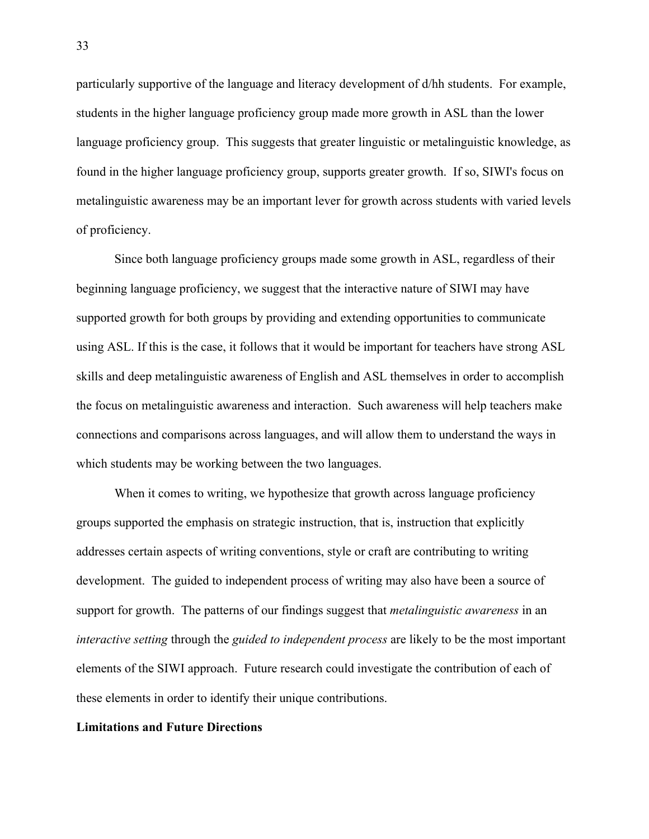particularly supportive of the language and literacy development of d/hh students. For example, students in the higher language proficiency group made more growth in ASL than the lower language proficiency group. This suggests that greater linguistic or metalinguistic knowledge, as found in the higher language proficiency group, supports greater growth. If so, SIWI's focus on metalinguistic awareness may be an important lever for growth across students with varied levels of proficiency.

Since both language proficiency groups made some growth in ASL, regardless of their beginning language proficiency, we suggest that the interactive nature of SIWI may have supported growth for both groups by providing and extending opportunities to communicate using ASL. If this is the case, it follows that it would be important for teachers have strong ASL skills and deep metalinguistic awareness of English and ASL themselves in order to accomplish the focus on metalinguistic awareness and interaction. Such awareness will help teachers make connections and comparisons across languages, and will allow them to understand the ways in which students may be working between the two languages.

When it comes to writing, we hypothesize that growth across language proficiency groups supported the emphasis on strategic instruction, that is, instruction that explicitly addresses certain aspects of writing conventions, style or craft are contributing to writing development. The guided to independent process of writing may also have been a source of support for growth. The patterns of our findings suggest that *metalinguistic awareness* in an *interactive setting* through the *guided to independent process* are likely to be the most important elements of the SIWI approach. Future research could investigate the contribution of each of these elements in order to identify their unique contributions.

### **Limitations and Future Directions**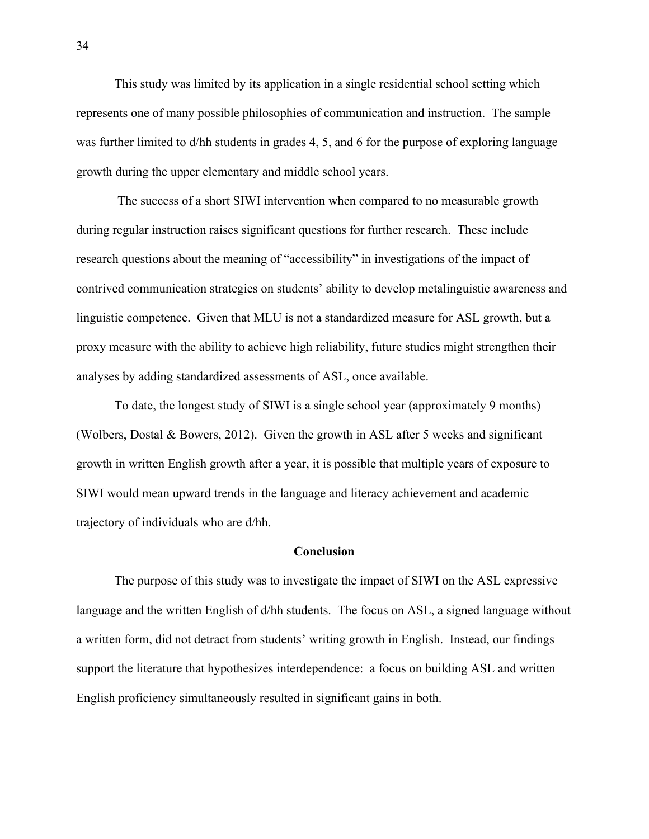This study was limited by its application in a single residential school setting which represents one of many possible philosophies of communication and instruction. The sample was further limited to d/hh students in grades 4, 5, and 6 for the purpose of exploring language growth during the upper elementary and middle school years.

The success of a short SIWI intervention when compared to no measurable growth during regular instruction raises significant questions for further research. These include research questions about the meaning of "accessibility" in investigations of the impact of contrived communication strategies on students' ability to develop metalinguistic awareness and linguistic competence. Given that MLU is not a standardized measure for ASL growth, but a proxy measure with the ability to achieve high reliability, future studies might strengthen their analyses by adding standardized assessments of ASL, once available.

To date, the longest study of SIWI is a single school year (approximately 9 months) (Wolbers, Dostal & Bowers, 2012). Given the growth in ASL after 5 weeks and significant growth in written English growth after a year, it is possible that multiple years of exposure to SIWI would mean upward trends in the language and literacy achievement and academic trajectory of individuals who are d/hh.

#### **Conclusion**

The purpose of this study was to investigate the impact of SIWI on the ASL expressive language and the written English of d/hh students. The focus on ASL, a signed language without a written form, did not detract from students' writing growth in English. Instead, our findings support the literature that hypothesizes interdependence: a focus on building ASL and written English proficiency simultaneously resulted in significant gains in both.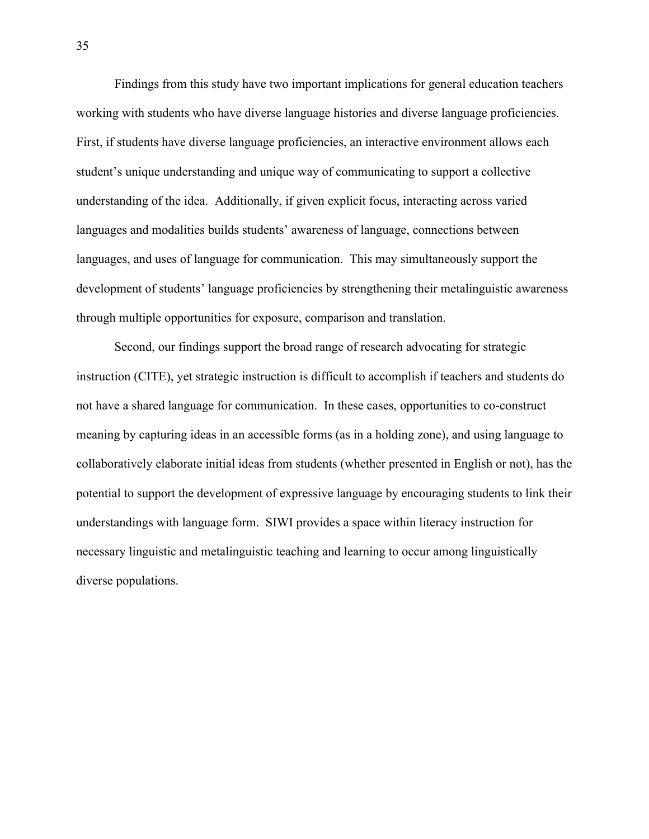Findings from this study have two important implications for general education teachers working with students who have diverse language histories and diverse language proficiencies. First, if students have diverse language proficiencies, an interactive environment allows each student's unique understanding and unique way of communicating to support a collective understanding of the idea. Additionally, if given explicit focus, interacting across varied languages and modalities builds students' awareness of language, connections between languages, and uses of language for communication. This may simultaneously support the development of students' language proficiencies by strengthening their metalinguistic awareness through multiple opportunities for exposure, comparison and translation.

Second, our findings support the broad range of research advocating for strategic instruction (CITE), yet strategic instruction is difficult to accomplish if teachers and students do not have a shared language for communication. In these cases, opportunities to co-construct meaning by capturing ideas in an accessible forms (as in a holding zone), and using language to collaboratively elaborate initial ideas from students (whether presented in English or not), has the potential to support the development of expressive language by encouraging students to link their understandings with language form. SIWI provides a space within literacy instruction for necessary linguistic and metalinguistic teaching and learning to occur among linguistically diverse populations.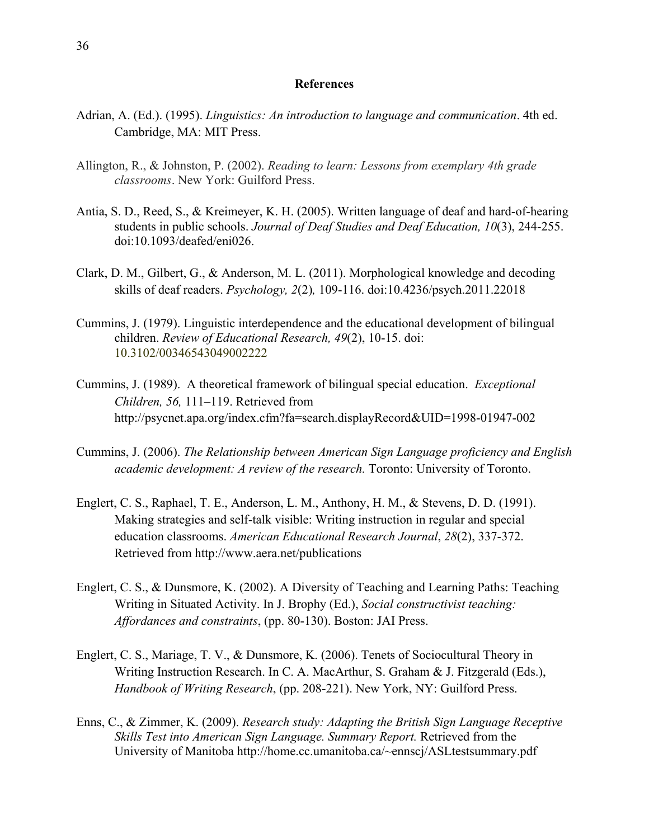#### **References**

- Adrian, A. (Ed.). (1995). *Linguistics: An introduction to language and communication*. 4th ed. Cambridge, MA: MIT Press.
- Allington, R., & Johnston, P. (2002). *Reading to learn: Lessons from exemplary 4th grade classrooms*. New York: Guilford Press.
- Antia, S. D., Reed, S., & Kreimeyer, K. H. (2005). Written language of deaf and hard-of-hearing students in public schools. *Journal of Deaf Studies and Deaf Education, 10*(3), 244-255. doi:10.1093/deafed/eni026.
- Clark, D. M., Gilbert, G., & Anderson, M. L. (2011). Morphological knowledge and decoding skills of deaf readers. *Psychology, 2*(2)*,* 109-116. doi:10.4236/psych.2011.22018
- Cummins, J. (1979). Linguistic interdependence and the educational development of bilingual children. *Review of Educational Research, 49*(2), 10-15. doi: 10.3102/00346543049002222
- Cummins, J. (1989). A theoretical framework of bilingual special education. *Exceptional Children, 56,* 111–119. Retrieved from http://psycnet.apa.org/index.cfm?fa=search.displayRecord&UID=1998-01947-002
- Cummins, J. (2006). *The Relationship between American Sign Language proficiency and English academic development: A review of the research.* Toronto: University of Toronto.
- Englert, C. S., Raphael, T. E., Anderson, L. M., Anthony, H. M., & Stevens, D. D. (1991). Making strategies and self-talk visible: Writing instruction in regular and special education classrooms. *American Educational Research Journal*, *28*(2), 337-372. Retrieved from http://www.aera.net/publications
- Englert, C. S., & Dunsmore, K. (2002). A Diversity of Teaching and Learning Paths: Teaching Writing in Situated Activity. In J. Brophy (Ed.), *Social constructivist teaching: Affordances and constraints*, (pp. 80-130). Boston: JAI Press.
- Englert, C. S., Mariage, T. V., & Dunsmore, K. (2006). Tenets of Sociocultural Theory in Writing Instruction Research. In C. A. MacArthur, S. Graham & J. Fitzgerald (Eds.), *Handbook of Writing Research*, (pp. 208-221). New York, NY: Guilford Press.
- Enns, C., & Zimmer, K. (2009). *Research study: Adapting the British Sign Language Receptive Skills Test into American Sign Language. Summary Report.* Retrieved from the University of Manitoba http://home.cc.umanitoba.ca/~ennscj/ASLtestsummary.pdf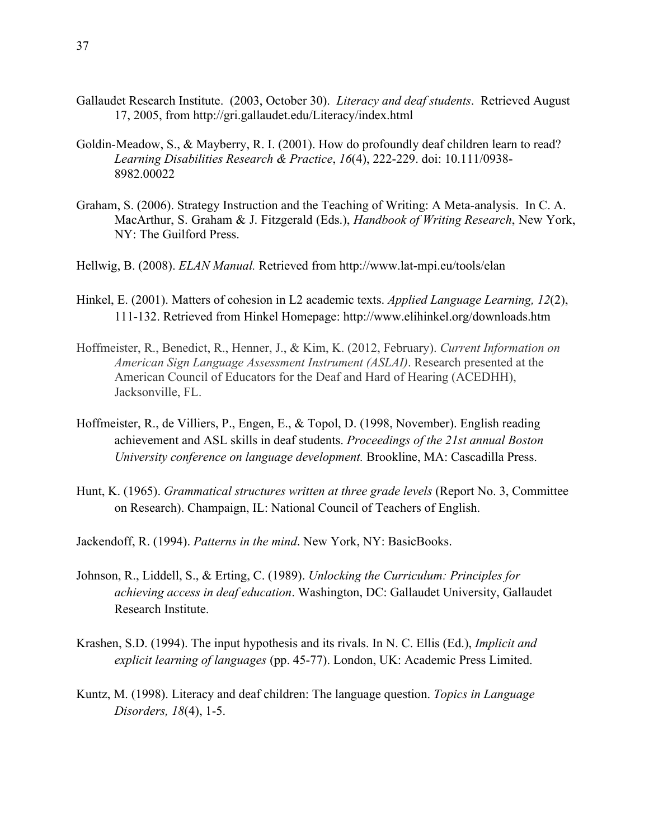- Gallaudet Research Institute. (2003, October 30). *Literacy and deaf students*. Retrieved August 17, 2005, from http://gri.gallaudet.edu/Literacy/index.html
- Goldin-Meadow, S., & Mayberry, R. I. (2001). How do profoundly deaf children learn to read? *Learning Disabilities Research & Practice*, *16*(4), 222-229. doi: 10.111/0938- 8982.00022
- Graham, S. (2006). Strategy Instruction and the Teaching of Writing: A Meta-analysis. In C. A. MacArthur, S. Graham & J. Fitzgerald (Eds.), *Handbook of Writing Research*, New York, NY: The Guilford Press.
- Hellwig, B. (2008). *ELAN Manual.* Retrieved from http://www.lat-mpi.eu/tools/elan
- Hinkel, E. (2001). Matters of cohesion in L2 academic texts. *Applied Language Learning, 12*(2), 111-132. Retrieved from Hinkel Homepage: http://www.elihinkel.org/downloads.htm
- Hoffmeister, R., Benedict, R., Henner, J., & Kim, K. (2012, February). *Current Information on American Sign Language Assessment Instrument (ASLAI)*. Research presented at the American Council of Educators for the Deaf and Hard of Hearing (ACEDHH), Jacksonville, FL.
- Hoffmeister, R., de Villiers, P., Engen, E., & Topol, D. (1998, November). English reading achievement and ASL skills in deaf students. *Proceedings of the 21st annual Boston University conference on language development.* Brookline, MA: Cascadilla Press.
- Hunt, K. (1965). *Grammatical structures written at three grade levels* (Report No. 3, Committee on Research). Champaign, IL: National Council of Teachers of English.
- Jackendoff, R. (1994). *Patterns in the mind*. New York, NY: BasicBooks.
- Johnson, R., Liddell, S., & Erting, C. (1989). *Unlocking the Curriculum: Principles for achieving access in deaf education*. Washington, DC: Gallaudet University, Gallaudet Research Institute.
- Krashen, S.D. (1994). The input hypothesis and its rivals. In N. C. Ellis (Ed.), *Implicit and explicit learning of languages* (pp. 45-77). London, UK: Academic Press Limited.
- Kuntz, M. (1998). Literacy and deaf children: The language question. *Topics in Language Disorders, 18*(4), 1-5.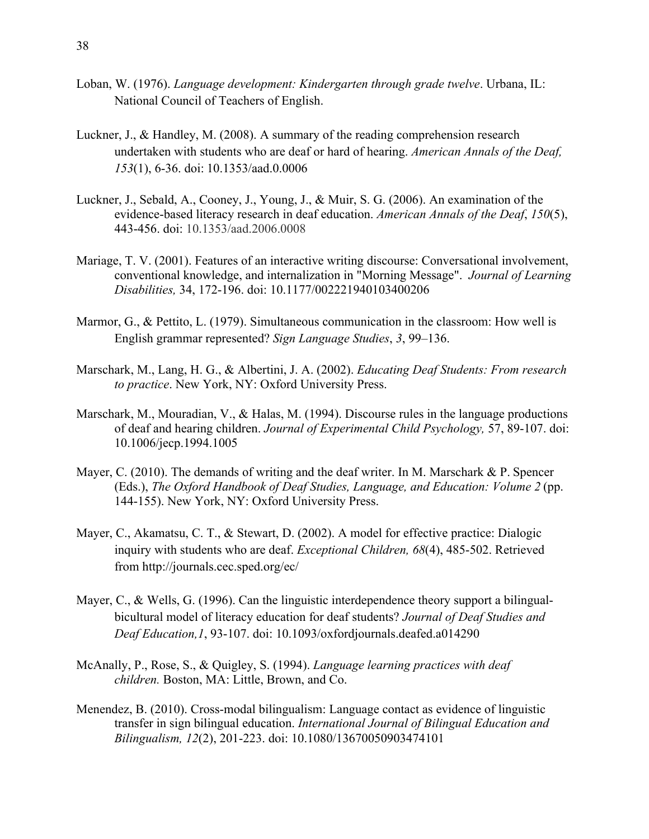- Loban, W. (1976). *Language development: Kindergarten through grade twelve*. Urbana, IL: National Council of Teachers of English.
- Luckner, J., & Handley, M. (2008). A summary of the reading comprehension research undertaken with students who are deaf or hard of hearing. *American Annals of the Deaf, 153*(1), 6-36. doi: 10.1353/aad.0.0006
- Luckner, J., Sebald, A., Cooney, J., Young, J., & Muir, S. G. (2006). An examination of the evidence-based literacy research in deaf education. *American Annals of the Deaf*, *150*(5), 443-456. doi: 10.1353/aad.2006.0008
- Mariage, T. V. (2001). Features of an interactive writing discourse: Conversational involvement, conventional knowledge, and internalization in "Morning Message". *Journal of Learning Disabilities,* 34, 172-196. doi: 10.1177/002221940103400206
- Marmor, G., & Pettito, L. (1979). Simultaneous communication in the classroom: How well is English grammar represented? *Sign Language Studies*, *3*, 99–136.
- Marschark, M., Lang, H. G., & Albertini, J. A. (2002). *Educating Deaf Students: From research to practice*. New York, NY: Oxford University Press.
- Marschark, M., Mouradian, V., & Halas, M. (1994). Discourse rules in the language productions of deaf and hearing children. *Journal of Experimental Child Psychology,* 57, 89-107. doi: 10.1006/jecp.1994.1005
- Mayer, C. (2010). The demands of writing and the deaf writer. In M. Marschark & P. Spencer (Eds.), *The Oxford Handbook of Deaf Studies, Language, and Education: Volume 2* (pp. 144-155). New York, NY: Oxford University Press.
- Mayer, C., Akamatsu, C. T., & Stewart, D. (2002). A model for effective practice: Dialogic inquiry with students who are deaf. *Exceptional Children, 68*(4), 485-502. Retrieved from http://journals.cec.sped.org/ec/
- Mayer, C., & Wells, G. (1996). Can the linguistic interdependence theory support a bilingualbicultural model of literacy education for deaf students? *Journal of Deaf Studies and Deaf Education,1*, 93-107. doi: 10.1093/oxfordjournals.deafed.a014290
- McAnally, P., Rose, S., & Quigley, S. (1994). *Language learning practices with deaf children.* Boston, MA: Little, Brown, and Co.
- Menendez, B. (2010). Cross-modal bilingualism: Language contact as evidence of linguistic transfer in sign bilingual education. *International Journal of Bilingual Education and Bilingualism, 12*(2), 201-223. doi: 10.1080/13670050903474101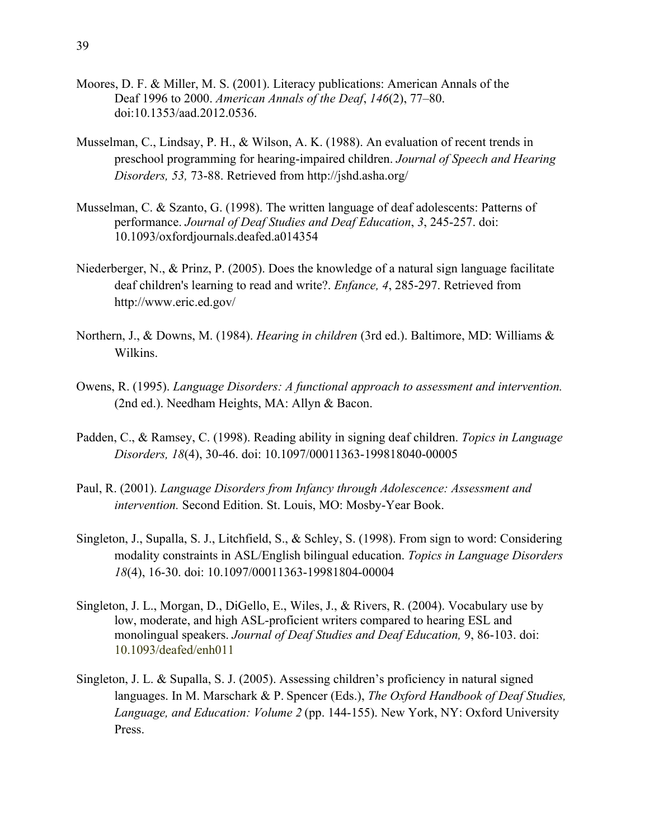- Moores, D. F. & Miller, M. S. (2001). Literacy publications: American Annals of the Deaf 1996 to 2000. *American Annals of the Deaf*, *146*(2), 77–80. doi:10.1353/aad.2012.0536.
- Musselman, C., Lindsay, P. H., & Wilson, A. K. (1988). An evaluation of recent trends in preschool programming for hearing-impaired children. *Journal of Speech and Hearing Disorders, 53,* 73-88. Retrieved from http://jshd.asha.org/
- Musselman, C. & Szanto, G. (1998). The written language of deaf adolescents: Patterns of performance. *Journal of Deaf Studies and Deaf Education*, *3*, 245-257. doi: 10.1093/oxfordjournals.deafed.a014354
- Niederberger, N., & Prinz, P. (2005). Does the knowledge of a natural sign language facilitate deaf children's learning to read and write?. *Enfance, 4*, 285-297. Retrieved from http://www.eric.ed.gov/
- Northern, J., & Downs, M. (1984). *Hearing in children* (3rd ed.). Baltimore, MD: Williams & Wilkins.
- Owens, R. (1995). *Language Disorders: A functional approach to assessment and intervention.*  (2nd ed.). Needham Heights, MA: Allyn & Bacon.
- Padden, C., & Ramsey, C. (1998). Reading ability in signing deaf children. *Topics in Language Disorders, 18*(4), 30-46. doi: 10.1097/00011363-199818040-00005
- Paul, R. (2001). *Language Disorders from Infancy through Adolescence: Assessment and intervention.* Second Edition. St. Louis, MO: Mosby-Year Book.
- Singleton, J., Supalla, S. J., Litchfield, S., & Schley, S. (1998). From sign to word: Considering modality constraints in ASL/English bilingual education. *Topics in Language Disorders 18*(4), 16-30. doi: 10.1097/00011363-19981804-00004
- Singleton, J. L., Morgan, D., DiGello, E., Wiles, J., & Rivers, R. (2004). Vocabulary use by low, moderate, and high ASL-proficient writers compared to hearing ESL and monolingual speakers. *Journal of Deaf Studies and Deaf Education,* 9, 86-103. doi: 10.1093/deafed/enh011
- Singleton, J. L. & Supalla, S. J. (2005). Assessing children's proficiency in natural signed languages. In M. Marschark & P. Spencer (Eds.), *The Oxford Handbook of Deaf Studies, Language, and Education: Volume 2* (pp. 144-155). New York, NY: Oxford University Press.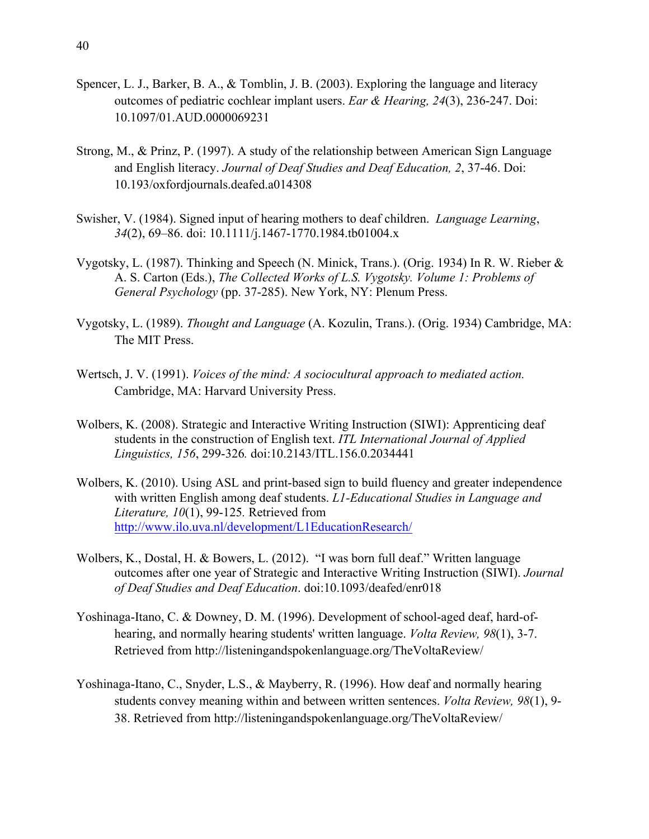- Spencer, L. J., Barker, B. A., & Tomblin, J. B. (2003). Exploring the language and literacy outcomes of pediatric cochlear implant users. *Ear & Hearing, 24*(3), 236-247. Doi: 10.1097/01.AUD.0000069231
- Strong, M., & Prinz, P. (1997). A study of the relationship between American Sign Language and English literacy. *Journal of Deaf Studies and Deaf Education, 2*, 37-46. Doi: 10.193/oxfordjournals.deafed.a014308
- Swisher, V. (1984). Signed input of hearing mothers to deaf children. *Language Learning*, *34*(2), 69–86. doi: 10.1111/j.1467-1770.1984.tb01004.x
- Vygotsky, L. (1987). Thinking and Speech (N. Minick, Trans.). (Orig. 1934) In R. W. Rieber & A. S. Carton (Eds.), *The Collected Works of L.S. Vygotsky. Volume 1: Problems of General Psychology* (pp. 37-285). New York, NY: Plenum Press.
- Vygotsky, L. (1989). *Thought and Language* (A. Kozulin, Trans.). (Orig. 1934) Cambridge, MA: The MIT Press.
- Wertsch, J. V. (1991). *Voices of the mind: A sociocultural approach to mediated action.*  Cambridge, MA: Harvard University Press.
- Wolbers, K. (2008). Strategic and Interactive Writing Instruction (SIWI): Apprenticing deaf students in the construction of English text. *ITL International Journal of Applied Linguistics, 156*, 299-326*.* doi:10.2143/ITL.156.0.2034441
- Wolbers, K. (2010). Using ASL and print-based sign to build fluency and greater independence with written English among deaf students. *L1-Educational Studies in Language and Literature, 10*(1), 99-125*.* Retrieved from http://www.ilo.uva.nl/development/L1EducationResearch/
- Wolbers, K., Dostal, H. & Bowers, L. (2012). "I was born full deaf." Written language outcomes after one year of Strategic and Interactive Writing Instruction (SIWI). *Journal of Deaf Studies and Deaf Education*. doi:10.1093/deafed/enr018
- Yoshinaga-Itano, C. & Downey, D. M. (1996). Development of school-aged deaf, hard-ofhearing, and normally hearing students' written language. *Volta Review, 98*(1), 3-7. Retrieved from http://listeningandspokenlanguage.org/TheVoltaReview/
- Yoshinaga-Itano, C., Snyder, L.S., & Mayberry, R. (1996). How deaf and normally hearing students convey meaning within and between written sentences. *Volta Review, 98*(1), 9- 38. Retrieved from http://listeningandspokenlanguage.org/TheVoltaReview/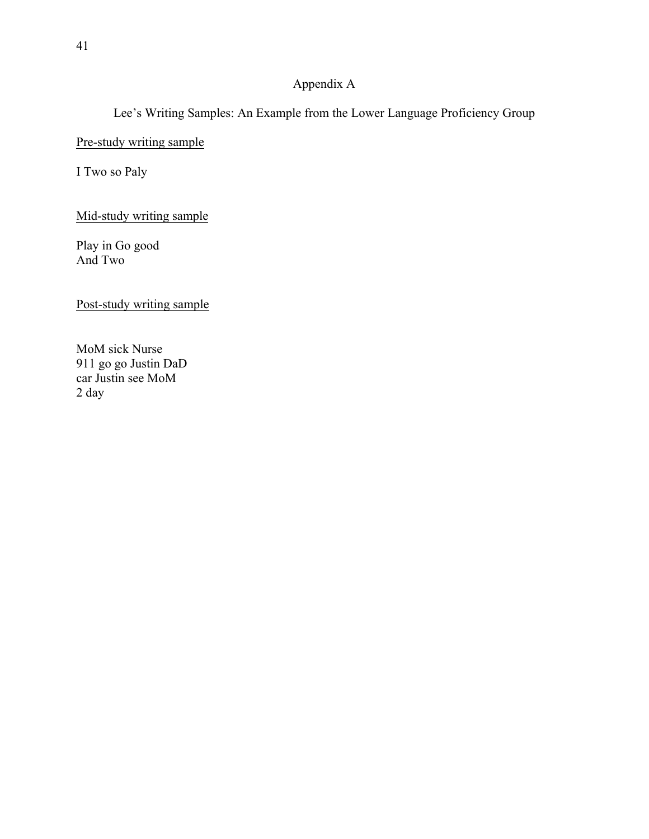# Appendix A

Lee's Writing Samples: An Example from the Lower Language Proficiency Group

Pre-study writing sample

I Two so Paly

Mid-study writing sample

Play in Go good And Two

Post-study writing sample

MoM sick Nurse 911 go go Justin DaD car Justin see MoM 2 day